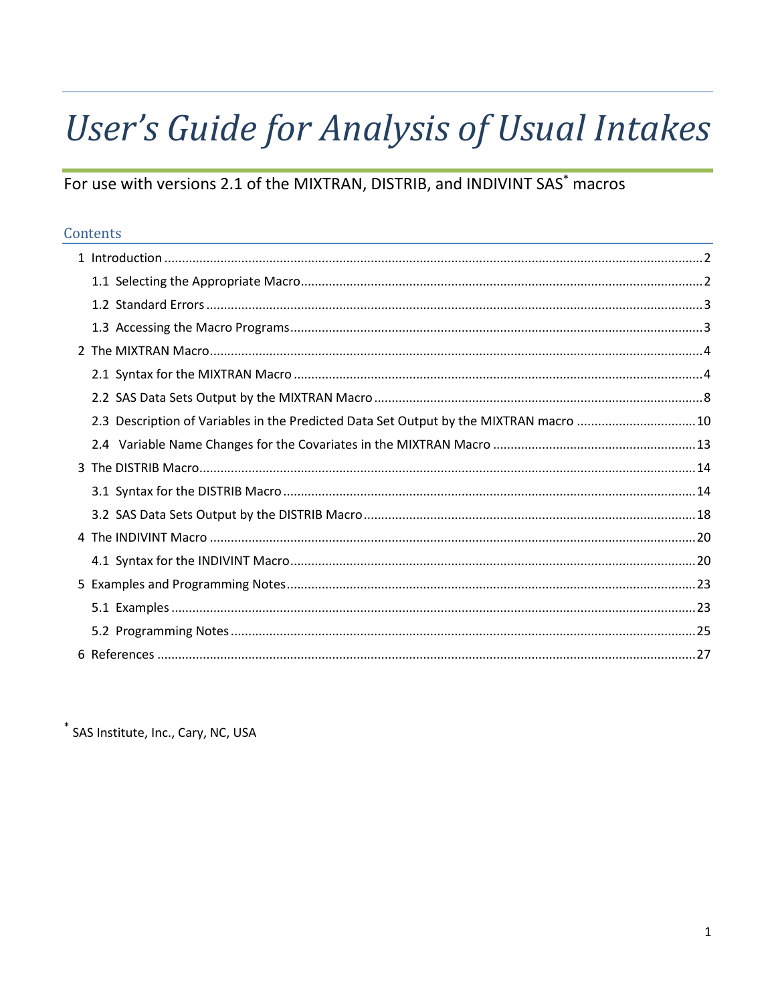# **User's Guide for Analysis of Usual Intakes**

# For use with versions 2.1 of the MIXTRAN, DISTRIB, and INDIVINT SAS<sup>\*</sup> macros

# Contents

| 2.3 Description of Variables in the Predicted Data Set Output by the MIXTRAN macro 10 |  |
|---------------------------------------------------------------------------------------|--|
|                                                                                       |  |
|                                                                                       |  |
|                                                                                       |  |
|                                                                                       |  |
|                                                                                       |  |
|                                                                                       |  |
|                                                                                       |  |
|                                                                                       |  |
|                                                                                       |  |
|                                                                                       |  |

\* SAS Institute, Inc., Cary, NC, USA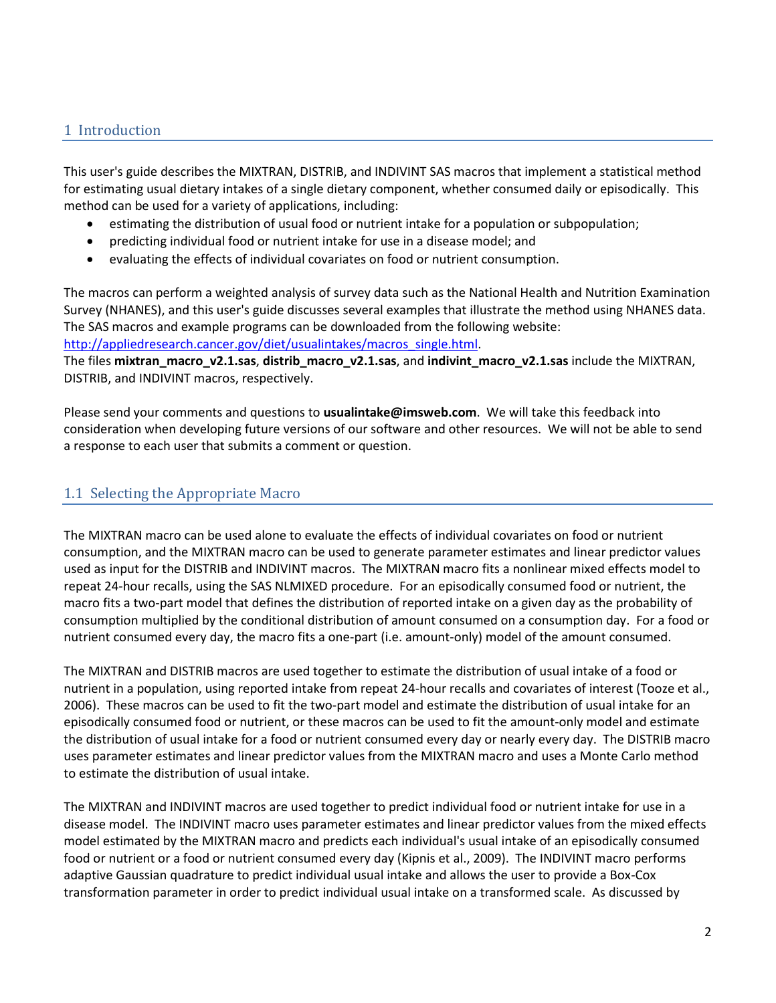## <span id="page-1-0"></span>1 Introduction

This user's guide describes the MIXTRAN, DISTRIB, and INDIVINT SAS macros that implement a statistical method for estimating usual dietary intakes of a single dietary component, whether consumed daily or episodically. This method can be used for a variety of applications, including:

- estimating the distribution of usual food or nutrient intake for a population or subpopulation;
- predicting individual food or nutrient intake for use in a disease model; and
- evaluating the effects of individual covariates on food or nutrient consumption.

The macros can perform a weighted analysis of survey data such as the National Health and Nutrition Examination Survey (NHANES), and this user's guide discusses several examples that illustrate the method using NHANES data. The SAS macros and example programs can be downloaded from the following website:

[http://appliedresearch.cancer.gov/diet/usualintakes/macros\\_single.html.](http://appliedresearch.cancer.gov/diet/usualintakes/macros_single.html)

The files **mixtran\_macro\_v2.1.sas**, **distrib\_macro\_v2.1.sas**, and **indivint\_macro\_v2.1.sas** include the MIXTRAN, DISTRIB, and INDIVINT macros, respectively.

Please send your comments and questions to **usualintake@imsweb.com**. We will take this feedback into consideration when developing future versions of our software and other resources. We will not be able to send a response to each user that submits a comment or question.

## <span id="page-1-1"></span>1.1 Selecting the Appropriate Macro

The MIXTRAN macro can be used alone to evaluate the effects of individual covariates on food or nutrient consumption, and the MIXTRAN macro can be used to generate parameter estimates and linear predictor values used as input for the DISTRIB and INDIVINT macros. The MIXTRAN macro fits a nonlinear mixed effects model to repeat 24-hour recalls, using the SAS NLMIXED procedure. For an episodically consumed food or nutrient, the macro fits a two-part model that defines the distribution of reported intake on a given day as the probability of consumption multiplied by the conditional distribution of amount consumed on a consumption day. For a food or nutrient consumed every day, the macro fits a one-part (i.e. amount-only) model of the amount consumed.

The MIXTRAN and DISTRIB macros are used together to estimate the distribution of usual intake of a food or nutrient in a population, using reported intake from repeat 24-hour recalls and covariates of interest (Tooze et al., 2006). These macros can be used to fit the two-part model and estimate the distribution of usual intake for an episodically consumed food or nutrient, or these macros can be used to fit the amount-only model and estimate the distribution of usual intake for a food or nutrient consumed every day or nearly every day. The DISTRIB macro uses parameter estimates and linear predictor values from the MIXTRAN macro and uses a Monte Carlo method to estimate the distribution of usual intake.

The MIXTRAN and INDIVINT macros are used together to predict individual food or nutrient intake for use in a disease model. The INDIVINT macro uses parameter estimates and linear predictor values from the mixed effects model estimated by the MIXTRAN macro and predicts each individual's usual intake of an episodically consumed food or nutrient or a food or nutrient consumed every day (Kipnis et al., 2009). The INDIVINT macro performs adaptive Gaussian quadrature to predict individual usual intake and allows the user to provide a Box-Cox transformation parameter in order to predict individual usual intake on a transformed scale. As discussed by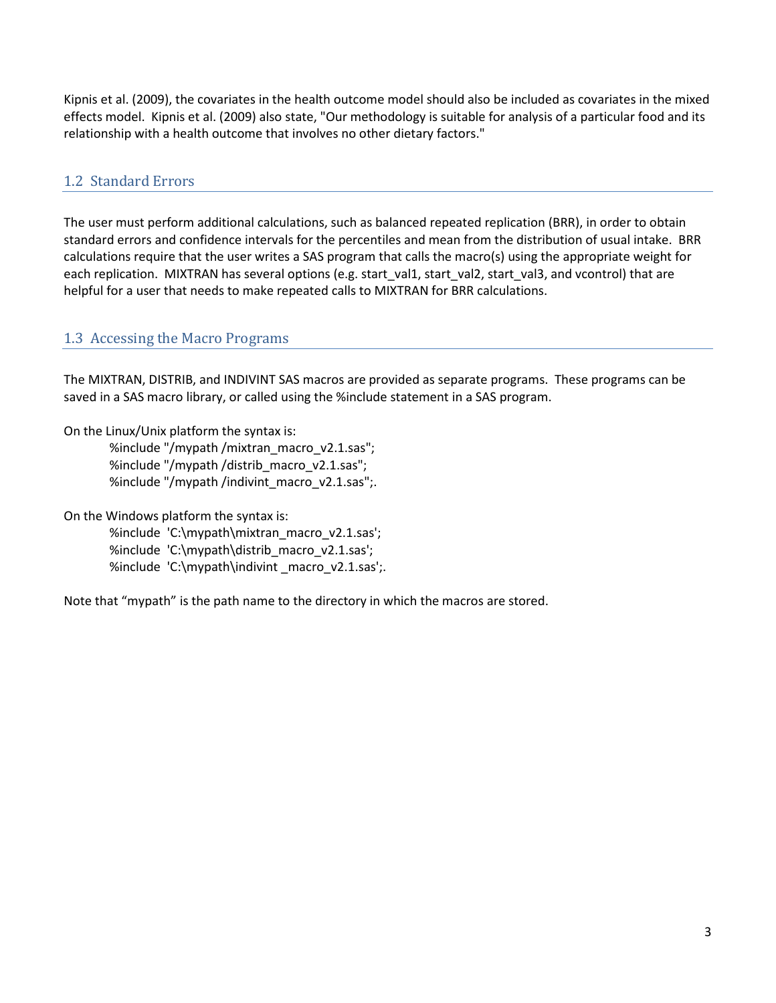Kipnis et al. (2009), the covariates in the health outcome model should also be included as covariates in the mixed effects model. Kipnis et al. (2009) also state, "Our methodology is suitable for analysis of a particular food and its relationship with a health outcome that involves no other dietary factors."

# <span id="page-2-0"></span>1.2 Standard Errors

The user must perform additional calculations, such as balanced repeated replication (BRR), in order to obtain standard errors and confidence intervals for the percentiles and mean from the distribution of usual intake. BRR calculations require that the user writes a SAS program that calls the macro(s) using the appropriate weight for each replication. MIXTRAN has several options (e.g. start\_val1, start\_val2, start\_val3, and vcontrol) that are helpful for a user that needs to make repeated calls to MIXTRAN for BRR calculations.

# <span id="page-2-1"></span>1.3 Accessing the Macro Programs

The MIXTRAN, DISTRIB, and INDIVINT SAS macros are provided as separate programs. These programs can be saved in a SAS macro library, or called using the %include statement in a SAS program.

On the Linux/Unix platform the syntax is: %include "/mypath /mixtran\_macro\_v2.1.sas"; %include "/mypath /distrib\_macro\_v2.1.sas"; %include "/mypath /indivint\_macro\_v2.1.sas";.

On the Windows platform the syntax is: %include 'C:\mypath\mixtran\_macro\_v2.1.sas'; %include 'C:\mypath\distrib\_macro\_v2.1.sas'; %include 'C:\mypath\indivint \_macro\_v2.1.sas';.

Note that "mypath" is the path name to the directory in which the macros are stored.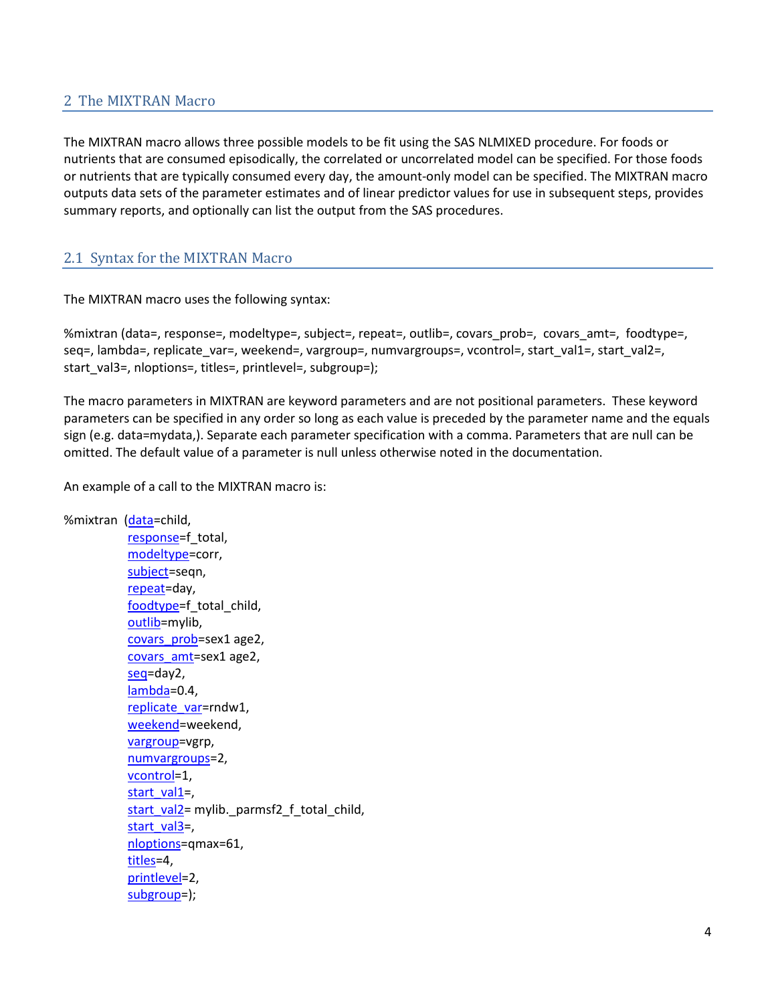#### <span id="page-3-0"></span>2 The MIXTRAN Macro

The MIXTRAN macro allows three possible models to be fit using the SAS NLMIXED procedure. For foods or nutrients that are consumed episodically, the correlated or uncorrelated model can be specified. For those foods or nutrients that are typically consumed every day, the amount-only model can be specified. The MIXTRAN macro outputs data sets of the parameter estimates and of linear predictor values for use in subsequent steps, provides summary reports, and optionally can list the output from the SAS procedures.

#### <span id="page-3-1"></span>2.1 Syntax for the MIXTRAN Macro

The MIXTRAN macro uses the following syntax:

%mixtran (data=, response=, modeltype=, subject=, repeat=, outlib=, covars\_prob=, covars\_amt=, foodtype=, seq=, lambda=, replicate\_var=, weekend=, vargroup=, numvargroups=, vcontrol=, start\_val1=, start\_val2=, start\_val3=, nloptions=, titles=, printlevel=, subgroup=);

The macro parameters in MIXTRAN are keyword parameters and are not positional parameters. These keyword parameters can be specified in any order so long as each value is preceded by the parameter name and the equals sign (e.g. data=mydata,). Separate each parameter specification with a comma. Parameters that are null can be omitted. The default value of a parameter is null unless otherwise noted in the documentation.

An example of a call to the MIXTRAN macro is:

%mixtran [\(data=](#page-4-0)child, [response=](#page-4-1)f\_total, [modeltype=](#page-4-2)corr, [subject=](#page-4-3)seqn, [repeat=](#page-4-4)day, [foodtype=](#page-4-5)f\_total\_child, [outlib=](#page-4-6)mylib, [covars\\_prob=](#page-4-7)sex1 age2, [covars\\_amt=](#page-5-0)sex1 age2, [seq=](#page-5-1)day2, [lambda=](#page-5-2)0.4, [replicate\\_var=](#page-5-3)rndw1, weekend=weekend, [vargroup=](#page-5-4)vgrp, [numvargroups=](#page-6-0)2, [vcontrol=](#page-6-1)1, [start\\_val1=](#page-6-2), [start\\_val2=](#page-6-3) mylib.\_parmsf2\_f\_total\_child, [start\\_val3=](#page-6-4), [nloptions=](#page-6-5)qmax=61, [titles=](#page-6-6)4, [printlevel=](#page-7-1)2, [subgroup=](#page-7-2));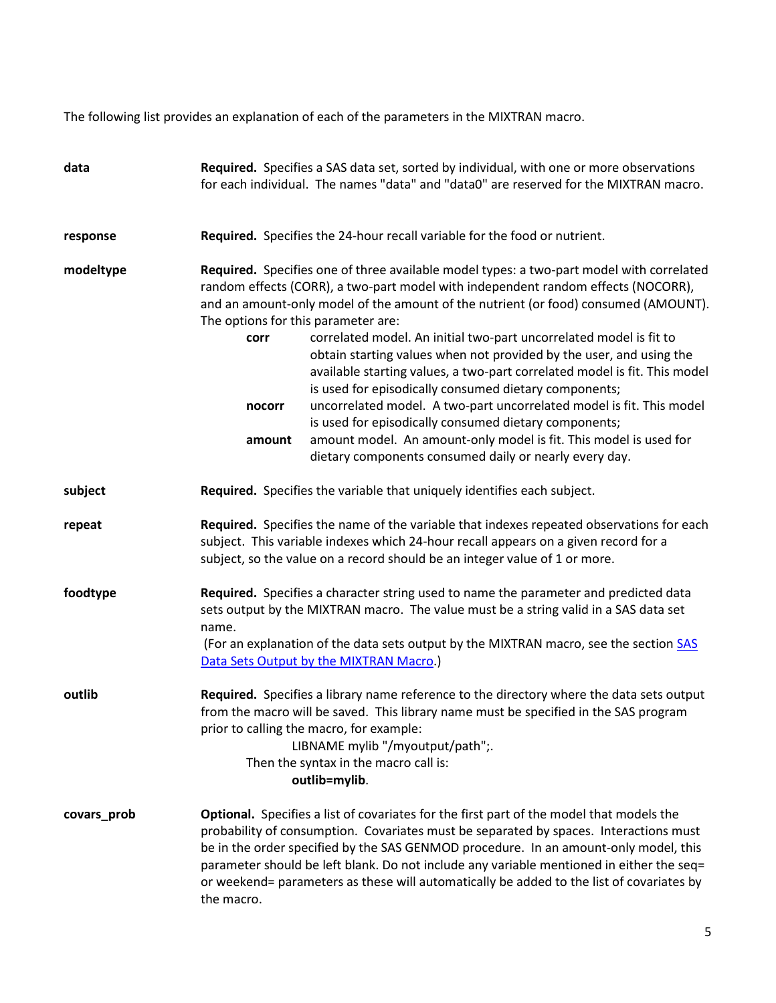The following list provides an explanation of each of the parameters in the MIXTRAN macro.

<span id="page-4-7"></span><span id="page-4-6"></span><span id="page-4-5"></span><span id="page-4-4"></span><span id="page-4-3"></span><span id="page-4-2"></span><span id="page-4-1"></span><span id="page-4-0"></span>

| data        | Required. Specifies a SAS data set, sorted by individual, with one or more observations<br>for each individual. The names "data" and "data0" are reserved for the MIXTRAN macro.                                                                                                                                                                                                                                                                                                                                                                                                                       |  |
|-------------|--------------------------------------------------------------------------------------------------------------------------------------------------------------------------------------------------------------------------------------------------------------------------------------------------------------------------------------------------------------------------------------------------------------------------------------------------------------------------------------------------------------------------------------------------------------------------------------------------------|--|
| response    | Required. Specifies the 24-hour recall variable for the food or nutrient.                                                                                                                                                                                                                                                                                                                                                                                                                                                                                                                              |  |
| modeltype   | Required. Specifies one of three available model types: a two-part model with correlated<br>random effects (CORR), a two-part model with independent random effects (NOCORR),<br>and an amount-only model of the amount of the nutrient (or food) consumed (AMOUNT).<br>The options for this parameter are:<br>correlated model. An initial two-part uncorrelated model is fit to<br>corr<br>obtain starting values when not provided by the user, and using the<br>available starting values, a two-part correlated model is fit. This model<br>is used for episodically consumed dietary components; |  |
|             | uncorrelated model. A two-part uncorrelated model is fit. This model<br>nocorr<br>is used for episodically consumed dietary components;<br>amount model. An amount-only model is fit. This model is used for<br>amount<br>dietary components consumed daily or nearly every day.                                                                                                                                                                                                                                                                                                                       |  |
| subject     | Required. Specifies the variable that uniquely identifies each subject.                                                                                                                                                                                                                                                                                                                                                                                                                                                                                                                                |  |
| repeat      | Required. Specifies the name of the variable that indexes repeated observations for each<br>subject. This variable indexes which 24-hour recall appears on a given record for a<br>subject, so the value on a record should be an integer value of 1 or more.                                                                                                                                                                                                                                                                                                                                          |  |
| foodtype    | Required. Specifies a character string used to name the parameter and predicted data<br>sets output by the MIXTRAN macro. The value must be a string valid in a SAS data set<br>name.<br>(For an explanation of the data sets output by the MIXTRAN macro, see the section SAS<br>Data Sets Output by the MIXTRAN Macro.)                                                                                                                                                                                                                                                                              |  |
| outlib      | Required. Specifies a library name reference to the directory where the data sets output<br>from the macro will be saved. This library name must be specified in the SAS program<br>prior to calling the macro, for example:<br>LIBNAME mylib "/myoutput/path";.<br>Then the syntax in the macro call is:<br>outlib=mylib.                                                                                                                                                                                                                                                                             |  |
| covars_prob | Optional. Specifies a list of covariates for the first part of the model that models the<br>probability of consumption. Covariates must be separated by spaces. Interactions must<br>be in the order specified by the SAS GENMOD procedure. In an amount-only model, this<br>parameter should be left blank. Do not include any variable mentioned in either the seq=<br>or weekend= parameters as these will automatically be added to the list of covariates by<br>the macro.                                                                                                                        |  |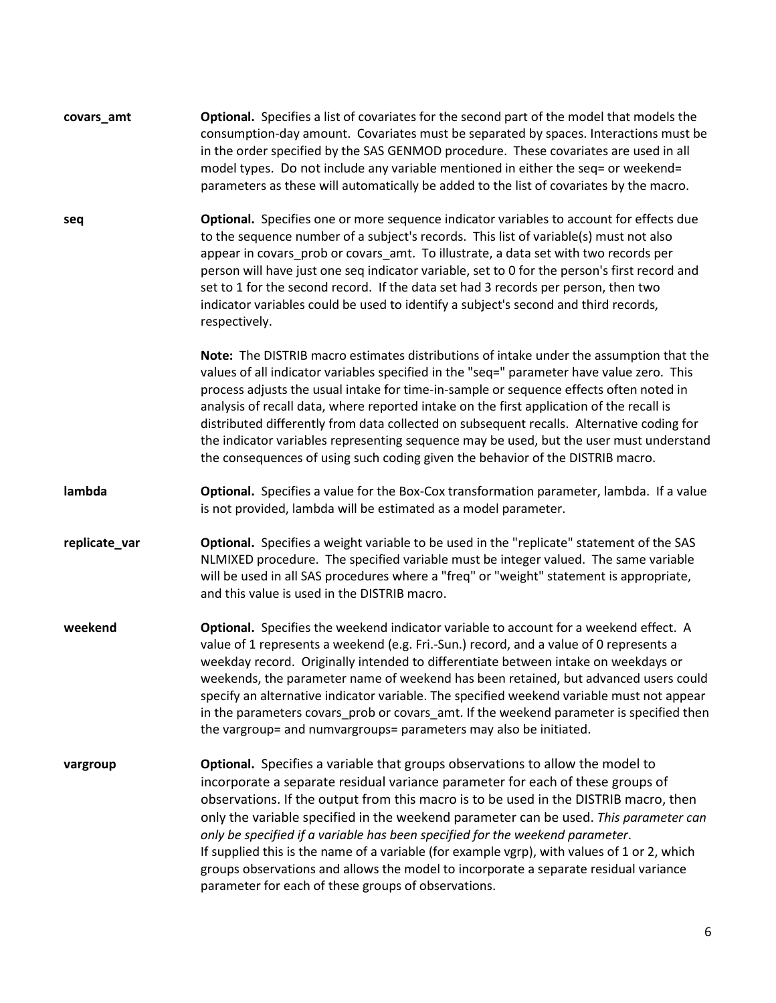<span id="page-5-4"></span><span id="page-5-3"></span><span id="page-5-2"></span><span id="page-5-1"></span><span id="page-5-0"></span>

| covars_amt    | <b>Optional.</b> Specifies a list of covariates for the second part of the model that models the<br>consumption-day amount. Covariates must be separated by spaces. Interactions must be<br>in the order specified by the SAS GENMOD procedure. These covariates are used in all<br>model types. Do not include any variable mentioned in either the seq= or weekend=<br>parameters as these will automatically be added to the list of covariates by the macro.                                                                                                                                                                                                               |
|---------------|--------------------------------------------------------------------------------------------------------------------------------------------------------------------------------------------------------------------------------------------------------------------------------------------------------------------------------------------------------------------------------------------------------------------------------------------------------------------------------------------------------------------------------------------------------------------------------------------------------------------------------------------------------------------------------|
| seq           | <b>Optional.</b> Specifies one or more sequence indicator variables to account for effects due<br>to the sequence number of a subject's records. This list of variable(s) must not also<br>appear in covars_prob or covars_amt. To illustrate, a data set with two records per<br>person will have just one seq indicator variable, set to 0 for the person's first record and<br>set to 1 for the second record. If the data set had 3 records per person, then two<br>indicator variables could be used to identify a subject's second and third records,<br>respectively.                                                                                                   |
|               | Note: The DISTRIB macro estimates distributions of intake under the assumption that the<br>values of all indicator variables specified in the "seq=" parameter have value zero. This<br>process adjusts the usual intake for time-in-sample or sequence effects often noted in<br>analysis of recall data, where reported intake on the first application of the recall is<br>distributed differently from data collected on subsequent recalls. Alternative coding for<br>the indicator variables representing sequence may be used, but the user must understand<br>the consequences of using such coding given the behavior of the DISTRIB macro.                           |
| lambda        | Optional. Specifies a value for the Box-Cox transformation parameter, lambda. If a value<br>is not provided, lambda will be estimated as a model parameter.                                                                                                                                                                                                                                                                                                                                                                                                                                                                                                                    |
| replicate_var | Optional. Specifies a weight variable to be used in the "replicate" statement of the SAS<br>NLMIXED procedure. The specified variable must be integer valued. The same variable<br>will be used in all SAS procedures where a "freq" or "weight" statement is appropriate,<br>and this value is used in the DISTRIB macro.                                                                                                                                                                                                                                                                                                                                                     |
| weekend       | Optional. Specifies the weekend indicator variable to account for a weekend effect. A<br>value of 1 represents a weekend (e.g. Fri.-Sun.) record, and a value of 0 represents a<br>weekday record. Originally intended to differentiate between intake on weekdays or<br>weekends, the parameter name of weekend has been retained, but advanced users could<br>specify an alternative indicator variable. The specified weekend variable must not appear<br>in the parameters covars_prob or covars_amt. If the weekend parameter is specified then<br>the vargroup= and numvargroups= parameters may also be initiated.                                                      |
| vargroup      | Optional. Specifies a variable that groups observations to allow the model to<br>incorporate a separate residual variance parameter for each of these groups of<br>observations. If the output from this macro is to be used in the DISTRIB macro, then<br>only the variable specified in the weekend parameter can be used. This parameter can<br>only be specified if a variable has been specified for the weekend parameter.<br>If supplied this is the name of a variable (for example vgrp), with values of 1 or 2, which<br>groups observations and allows the model to incorporate a separate residual variance<br>parameter for each of these groups of observations. |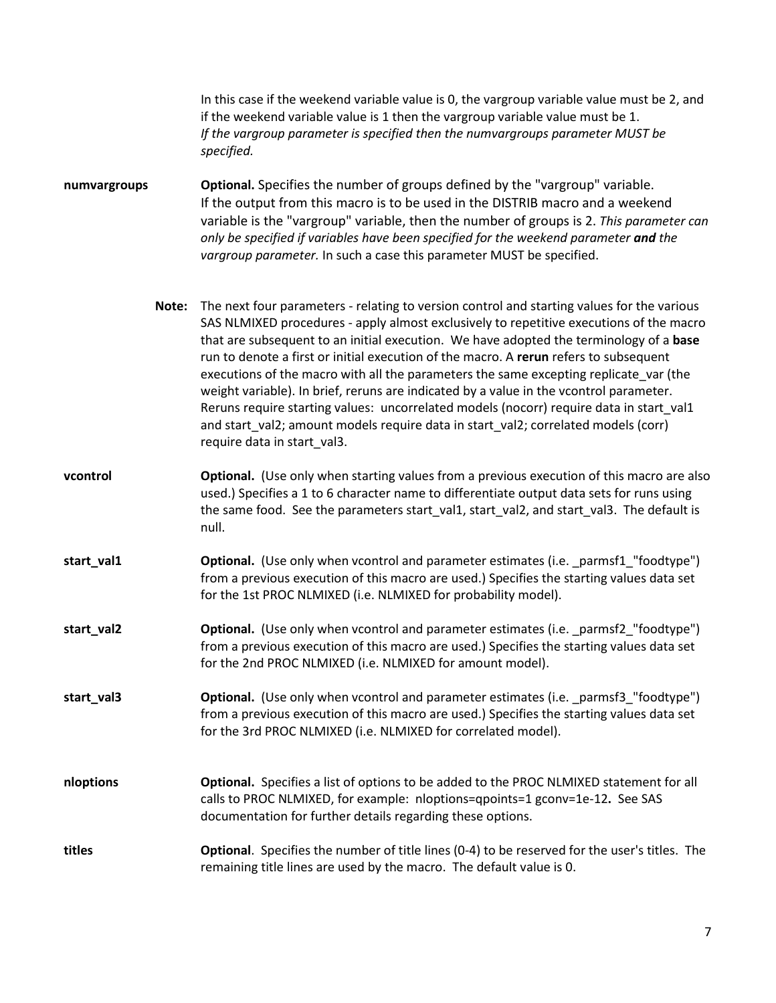In this case if the weekend variable value is 0, the vargroup variable value must be 2, and if the weekend variable value is 1 then the vargroup variable value must be 1. *If the vargroup parameter is specified then the numvargroups parameter MUST be specified.*

<span id="page-6-0"></span>**numvargroups Optional.** Specifies the number of groups defined by the "vargroup" variable. If the output from this macro is to be used in the DISTRIB macro and a weekend variable is the "vargroup" variable, then the number of groups is 2. *This parameter can only be specified if variables have been specified for the weekend parameter and the vargroup parameter.* In such a case this parameter MUST be specified.

> **Note:** The next four parameters - relating to version control and starting values for the various SAS NLMIXED procedures - apply almost exclusively to repetitive executions of the macro that are subsequent to an initial execution. We have adopted the terminology of a **base** run to denote a first or initial execution of the macro. A **rerun** refers to subsequent executions of the macro with all the parameters the same excepting replicate\_var (the weight variable). In brief, reruns are indicated by a value in the vcontrol parameter. Reruns require starting values: uncorrelated models (nocorr) require data in start\_val1 and start\_val2; amount models require data in start\_val2; correlated models (corr) require data in start\_val3.

- <span id="page-6-1"></span>**vcontrol <b>Contical Optional.** (Use only when starting values from a previous execution of this macro are also used.) Specifies a 1 to 6 character name to differentiate output data sets for runs using the same food. See the parameters start val1, start val2, and start val3. The default is null.
- <span id="page-6-2"></span>**start val1 Optional.** (Use only when vcontrol and parameter estimates (i.e. \_parmsf1 "foodtype") from a previous execution of this macro are used.) Specifies the starting values data set for the 1st PROC NLMIXED (i.e. NLMIXED for probability model).
- <span id="page-6-3"></span>**start\_val2 Optional.** (Use only when vcontrol and parameter estimates (i.e. \_parmsf2\_"foodtype") from a previous execution of this macro are used.) Specifies the starting values data set for the 2nd PROC NLMIXED (i.e. NLMIXED for amount model).
- <span id="page-6-4"></span>**start\_val3 Optional.** (Use only when vcontrol and parameter estimates (i.e. \_parmsf3 strategy localype") from a previous execution of this macro are used.) Specifies the starting values data set for the 3rd PROC NLMIXED (i.e. NLMIXED for correlated model).
- <span id="page-6-5"></span>**nloptions Optional.** Specifies a list of options to be added to the PROC NLMIXED statement for all calls to PROC NLMIXED, for example: nloptions=qpoints=1 gconv=1e-12**.** See SAS documentation for further details regarding these options.

#### <span id="page-6-6"></span>**titles Optional**. Specifies the number of title lines (0-4) to be reserved for the user's titles. The remaining title lines are used by the macro. The default value is 0.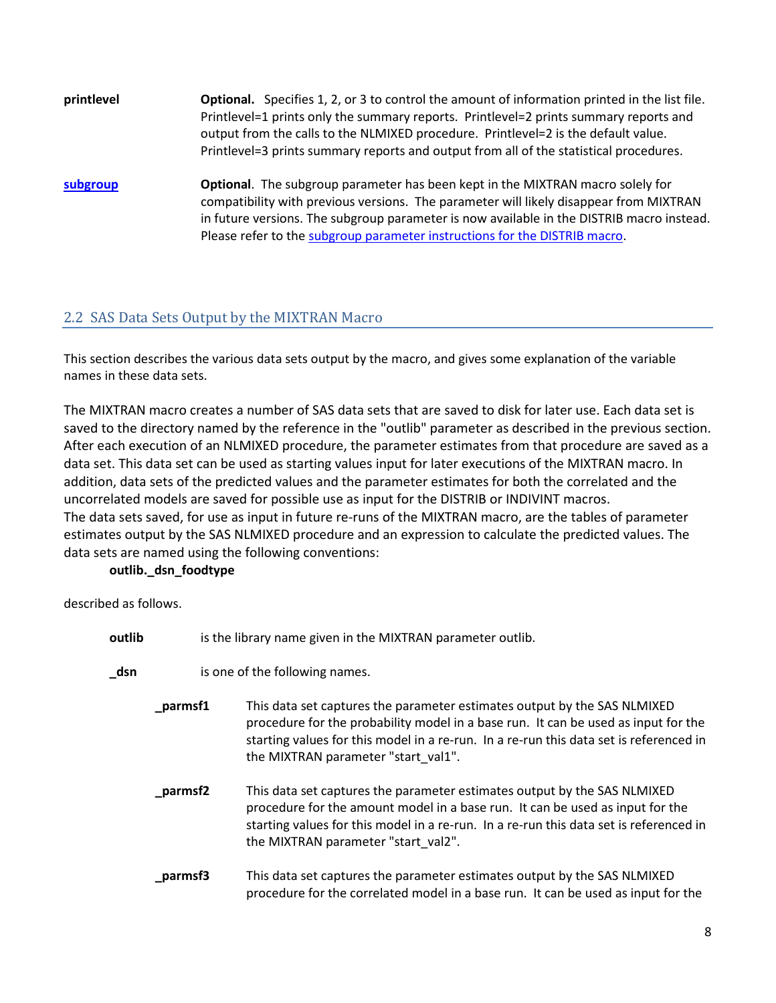<span id="page-7-2"></span><span id="page-7-1"></span>

| printlevel | <b>Optional.</b> Specifies 1, 2, or 3 to control the amount of information printed in the list file.<br>Printlevel=1 prints only the summary reports. Printlevel=2 prints summary reports and<br>output from the calls to the NLMIXED procedure. Printlevel=2 is the default value.<br>Printlevel=3 prints summary reports and output from all of the statistical procedures. |
|------------|-------------------------------------------------------------------------------------------------------------------------------------------------------------------------------------------------------------------------------------------------------------------------------------------------------------------------------------------------------------------------------|
| subgroup   | <b>Optional.</b> The subgroup parameter has been kept in the MIXTRAN macro solely for<br>compatibility with previous versions. The parameter will likely disappear from MIXTRAN<br>in future versions. The subgroup parameter is now available in the DISTRIB macro instead.<br>Please refer to the subgroup parameter instructions for the DISTRIB macro.                    |

# <span id="page-7-0"></span>2.2 SAS Data Sets Output by the MIXTRAN Macro

This section describes the various data sets output by the macro, and gives some explanation of the variable names in these data sets.

The MIXTRAN macro creates a number of SAS data sets that are saved to disk for later use. Each data set is saved to the directory named by the reference in the "outlib" parameter as described in the previous section. After each execution of an NLMIXED procedure, the parameter estimates from that procedure are saved as a data set. This data set can be used as starting values input for later executions of the MIXTRAN macro. In addition, data sets of the predicted values and the parameter estimates for both the correlated and the uncorrelated models are saved for possible use as input for the DISTRIB or INDIVINT macros. The data sets saved, for use as input in future re-runs of the MIXTRAN macro, are the tables of parameter estimates output by the SAS NLMIXED procedure and an expression to calculate the predicted values. The data sets are named using the following conventions:

**outlib.\_dsn\_foodtype**

described as follows.

**outlib** is the library name given in the MIXTRAN parameter outlib.

- **dsn** is one of the following names.
	- **\_parmsf1** This data set captures the parameter estimates output by the SAS NLMIXED procedure for the probability model in a base run. It can be used as input for the starting values for this model in a re-run. In a re-run this data set is referenced in the MIXTRAN parameter "start\_val1".
	- **\_parmsf2** This data set captures the parameter estimates output by the SAS NLMIXED procedure for the amount model in a base run. It can be used as input for the starting values for this model in a re-run. In a re-run this data set is referenced in the MIXTRAN parameter "start\_val2".
	- **\_parmsf3** This data set captures the parameter estimates output by the SAS NLMIXED procedure for the correlated model in a base run. It can be used as input for the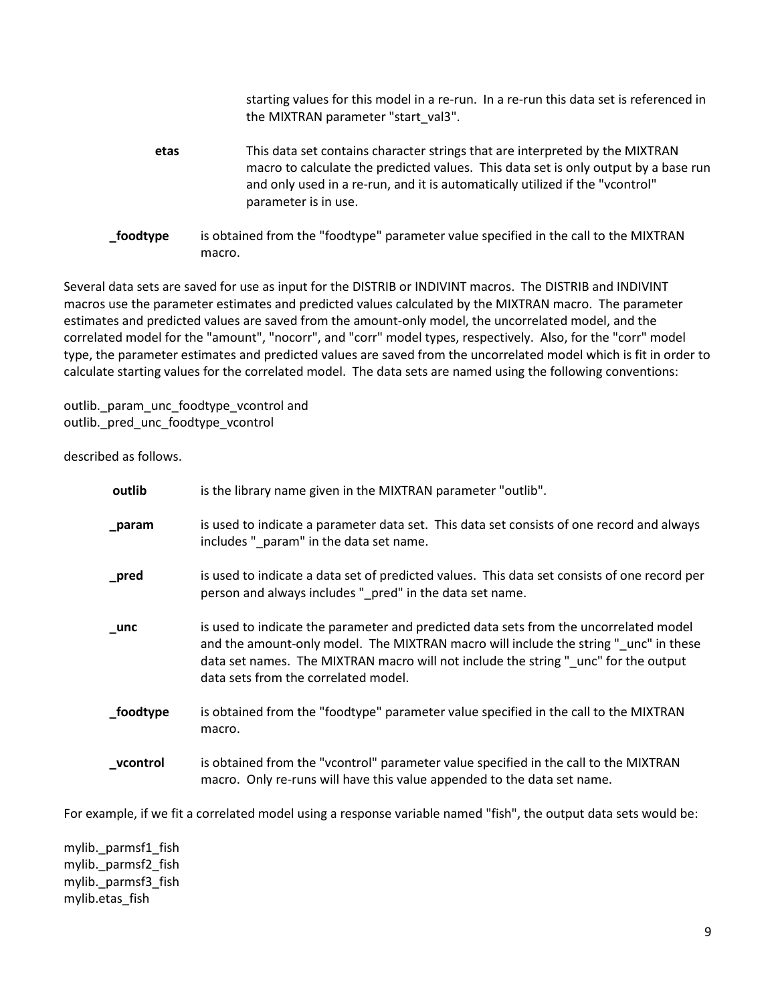starting values for this model in a re-run. In a re-run this data set is referenced in the MIXTRAN parameter "start\_val3".

- **etas** This data set contains character strings that are interpreted by the MIXTRAN macro to calculate the predicted values. This data set is only output by a base run and only used in a re-run, and it is automatically utilized if the "vcontrol" parameter is in use.
- **\_foodtype** is obtained from the "foodtype" parameter value specified in the call to the MIXTRAN macro.

Several data sets are saved for use as input for the DISTRIB or INDIVINT macros. The DISTRIB and INDIVINT macros use the parameter estimates and predicted values calculated by the MIXTRAN macro. The parameter estimates and predicted values are saved from the amount-only model, the uncorrelated model, and the correlated model for the "amount", "nocorr", and "corr" model types, respectively. Also, for the "corr" model type, the parameter estimates and predicted values are saved from the uncorrelated model which is fit in order to calculate starting values for the correlated model. The data sets are named using the following conventions:

outlib. param\_unc\_foodtype\_vcontrol and outlib.\_pred\_unc\_foodtype\_vcontrol

described as follows.

| outlib    | is the library name given in the MIXTRAN parameter "outlib".                                                                                                                                                                                                                                                 |
|-----------|--------------------------------------------------------------------------------------------------------------------------------------------------------------------------------------------------------------------------------------------------------------------------------------------------------------|
| _param    | is used to indicate a parameter data set. This data set consists of one record and always<br>includes "_param" in the data set name.                                                                                                                                                                         |
| $\_pred$  | is used to indicate a data set of predicted values. This data set consists of one record per<br>person and always includes "_pred" in the data set name.                                                                                                                                                     |
| $\_$ unc  | is used to indicate the parameter and predicted data sets from the uncorrelated model<br>and the amount-only model. The MIXTRAN macro will include the string "_unc" in these<br>data set names. The MIXTRAN macro will not include the string "_unc" for the output<br>data sets from the correlated model. |
| _foodtype | is obtained from the "foodtype" parameter value specified in the call to the MIXTRAN<br>macro.                                                                                                                                                                                                               |
| _vcontrol | is obtained from the "vcontrol" parameter value specified in the call to the MIXTRAN<br>macro. Only re-runs will have this value appended to the data set name.                                                                                                                                              |

For example, if we fit a correlated model using a response variable named "fish", the output data sets would be:

mylib. parmsf1 fish mylib.\_parmsf2\_fish mylib.\_parmsf3\_fish mylib.etas\_fish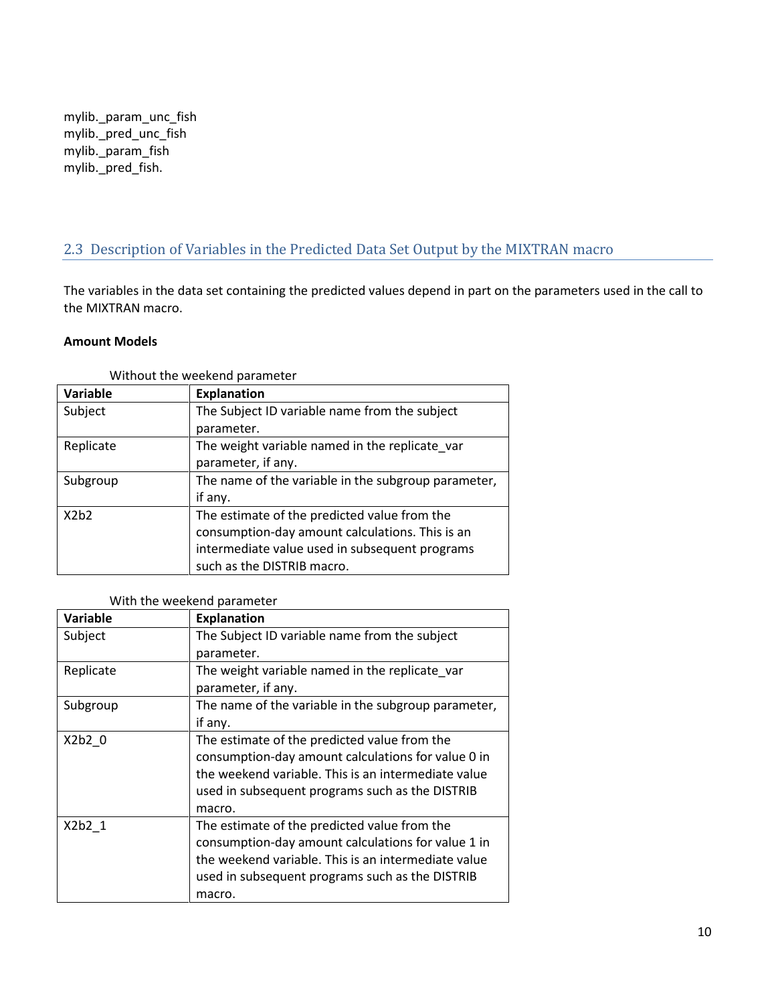mylib.\_param\_unc\_fish mylib.\_pred\_unc\_fish mylib.\_param\_fish mylib.\_pred\_fish.

# <span id="page-9-0"></span>2.3 Description of Variables in the Predicted Data Set Output by the MIXTRAN macro

The variables in the data set containing the predicted values depend in part on the parameters used in the call to the MIXTRAN macro.

#### **Amount Models**

| Variable  | <b>Explanation</b>                                  |
|-----------|-----------------------------------------------------|
| Subject   | The Subject ID variable name from the subject       |
|           | parameter.                                          |
| Replicate | The weight variable named in the replicate_var      |
|           | parameter, if any.                                  |
| Subgroup  | The name of the variable in the subgroup parameter, |
|           | if any.                                             |
| X2b2      | The estimate of the predicted value from the        |
|           | consumption-day amount calculations. This is an     |
|           | intermediate value used in subsequent programs      |
|           | such as the DISTRIB macro.                          |

Without the weekend parameter

#### With the weekend parameter

| Variable  | <b>Explanation</b>                                  |
|-----------|-----------------------------------------------------|
| Subject   | The Subject ID variable name from the subject       |
|           | parameter.                                          |
| Replicate | The weight variable named in the replicate var      |
|           | parameter, if any.                                  |
| Subgroup  | The name of the variable in the subgroup parameter, |
|           | if any.                                             |
| X2b2 0    | The estimate of the predicted value from the        |
|           | consumption-day amount calculations for value 0 in  |
|           | the weekend variable. This is an intermediate value |
|           | used in subsequent programs such as the DISTRIB     |
|           | macro.                                              |
| X2b2 1    | The estimate of the predicted value from the        |
|           | consumption-day amount calculations for value 1 in  |
|           | the weekend variable. This is an intermediate value |
|           | used in subsequent programs such as the DISTRIB     |
|           | macro.                                              |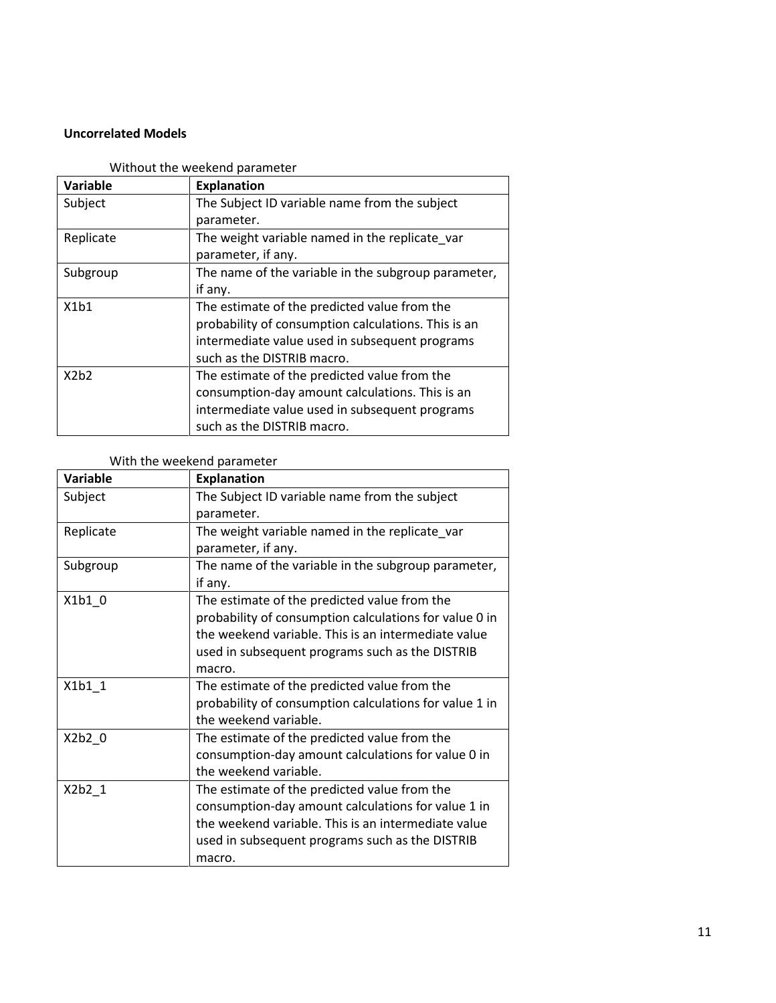# **Uncorrelated Models**

| Variable  | <b>Explanation</b>                                  |
|-----------|-----------------------------------------------------|
| Subject   | The Subject ID variable name from the subject       |
|           | parameter.                                          |
| Replicate | The weight variable named in the replicate var      |
|           | parameter, if any.                                  |
| Subgroup  | The name of the variable in the subgroup parameter, |
|           | if any.                                             |
| X1b1      | The estimate of the predicted value from the        |
|           | probability of consumption calculations. This is an |
|           | intermediate value used in subsequent programs      |
|           | such as the DISTRIB macro.                          |
| X2b2      | The estimate of the predicted value from the        |
|           | consumption-day amount calculations. This is an     |
|           | intermediate value used in subsequent programs      |
|           | such as the DISTRIB macro.                          |

Without the weekend parameter

# With the weekend parameter

| Variable            | <b>Explanation</b>                                     |
|---------------------|--------------------------------------------------------|
| Subject             | The Subject ID variable name from the subject          |
|                     | parameter.                                             |
| Replicate           | The weight variable named in the replicate_var         |
|                     | parameter, if any.                                     |
| Subgroup            | The name of the variable in the subgroup parameter,    |
|                     | if any.                                                |
| $X1b1$ <sub>0</sub> | The estimate of the predicted value from the           |
|                     | probability of consumption calculations for value 0 in |
|                     | the weekend variable. This is an intermediate value    |
|                     | used in subsequent programs such as the DISTRIB        |
|                     | macro.                                                 |
| $X1b1_1$            | The estimate of the predicted value from the           |
|                     | probability of consumption calculations for value 1 in |
|                     | the weekend variable.                                  |
| $X2b2_0$            | The estimate of the predicted value from the           |
|                     | consumption-day amount calculations for value 0 in     |
|                     | the weekend variable.                                  |
| X2b2 1              | The estimate of the predicted value from the           |
|                     | consumption-day amount calculations for value 1 in     |
|                     | the weekend variable. This is an intermediate value    |
|                     | used in subsequent programs such as the DISTRIB        |
|                     | macro.                                                 |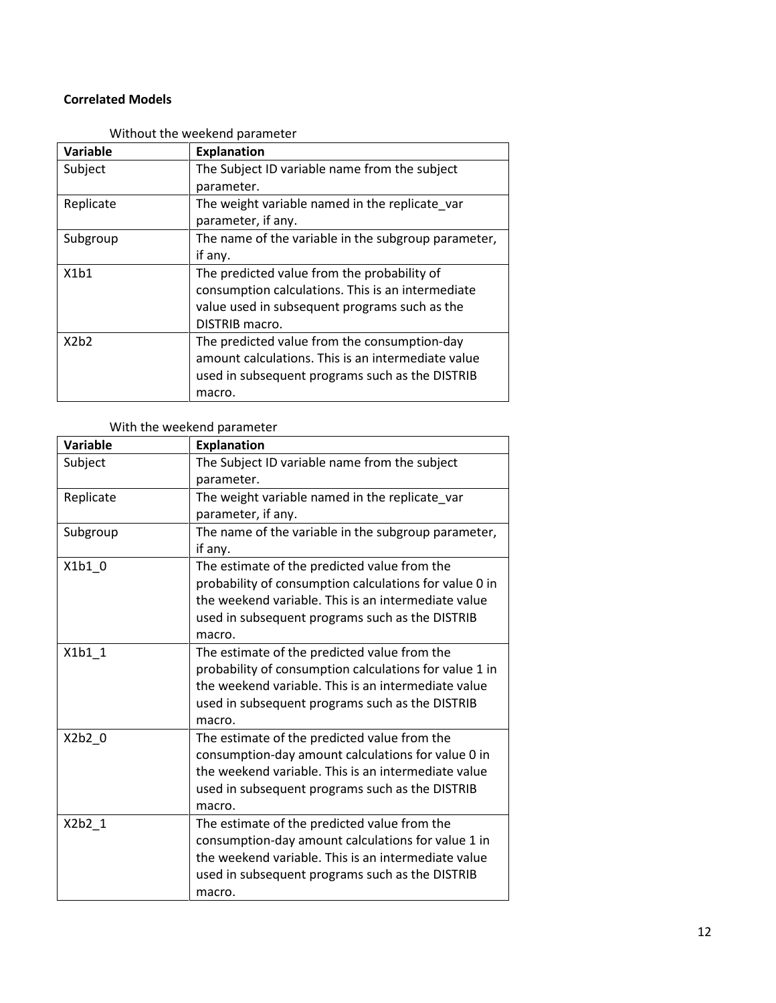## **Correlated Models**

| Variable  | <b>Explanation</b>                                  |
|-----------|-----------------------------------------------------|
| Subject   | The Subject ID variable name from the subject       |
|           | parameter.                                          |
| Replicate | The weight variable named in the replicate var      |
|           | parameter, if any.                                  |
| Subgroup  | The name of the variable in the subgroup parameter, |
|           | if any.                                             |
| X1b1      | The predicted value from the probability of         |
|           | consumption calculations. This is an intermediate   |
|           | value used in subsequent programs such as the       |
|           | DISTRIB macro.                                      |
| X2b2      | The predicted value from the consumption-day        |
|           | amount calculations. This is an intermediate value  |
|           | used in subsequent programs such as the DISTRIB     |
|           | macro.                                              |

Without the weekend parameter

# With the weekend parameter

| Variable            | <b>Explanation</b>                                     |
|---------------------|--------------------------------------------------------|
| Subject             | The Subject ID variable name from the subject          |
|                     | parameter.                                             |
| Replicate           | The weight variable named in the replicate_var         |
|                     | parameter, if any.                                     |
| Subgroup            | The name of the variable in the subgroup parameter,    |
|                     | if any.                                                |
| $X1b1$ <sub>0</sub> | The estimate of the predicted value from the           |
|                     | probability of consumption calculations for value 0 in |
|                     | the weekend variable. This is an intermediate value    |
|                     | used in subsequent programs such as the DISTRIB        |
|                     | macro.                                                 |
| $X1b1_1$            | The estimate of the predicted value from the           |
|                     | probability of consumption calculations for value 1 in |
|                     | the weekend variable. This is an intermediate value    |
|                     | used in subsequent programs such as the DISTRIB        |
|                     | macro.                                                 |
| $X2b2_0$            | The estimate of the predicted value from the           |
|                     | consumption-day amount calculations for value 0 in     |
|                     | the weekend variable. This is an intermediate value    |
|                     | used in subsequent programs such as the DISTRIB        |
|                     | macro.                                                 |
| $X2b2_1$            | The estimate of the predicted value from the           |
|                     | consumption-day amount calculations for value 1 in     |
|                     | the weekend variable. This is an intermediate value    |
|                     | used in subsequent programs such as the DISTRIB        |
|                     | macro.                                                 |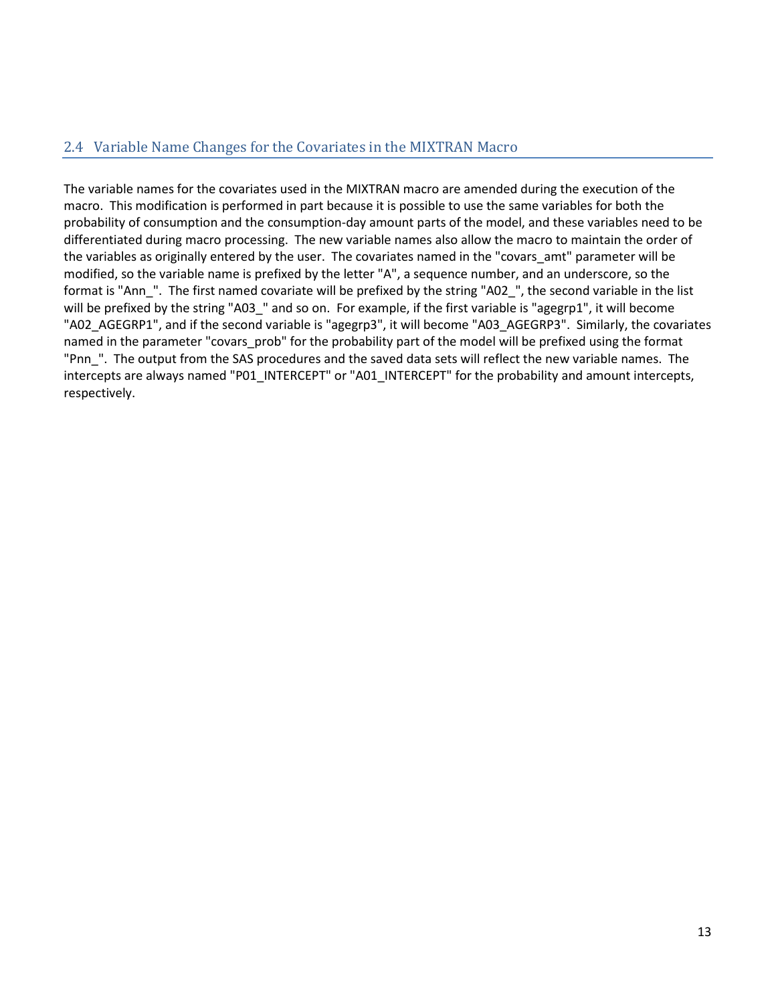## <span id="page-12-0"></span>2.4 Variable Name Changes for the Covariates in the MIXTRAN Macro

The variable names for the covariates used in the MIXTRAN macro are amended during the execution of the macro. This modification is performed in part because it is possible to use the same variables for both the probability of consumption and the consumption-day amount parts of the model, and these variables need to be differentiated during macro processing. The new variable names also allow the macro to maintain the order of the variables as originally entered by the user. The covariates named in the "covars\_amt" parameter will be modified, so the variable name is prefixed by the letter "A", a sequence number, and an underscore, so the format is "Ann\_". The first named covariate will be prefixed by the string "A02\_", the second variable in the list will be prefixed by the string "A03\_" and so on. For example, if the first variable is "agegrp1", it will become "A02\_AGEGRP1", and if the second variable is "agegrp3", it will become "A03\_AGEGRP3". Similarly, the covariates named in the parameter "covars prob" for the probability part of the model will be prefixed using the format "Pnn\_". The output from the SAS procedures and the saved data sets will reflect the new variable names. The intercepts are always named "P01\_INTERCEPT" or "A01\_INTERCEPT" for the probability and amount intercepts, respectively.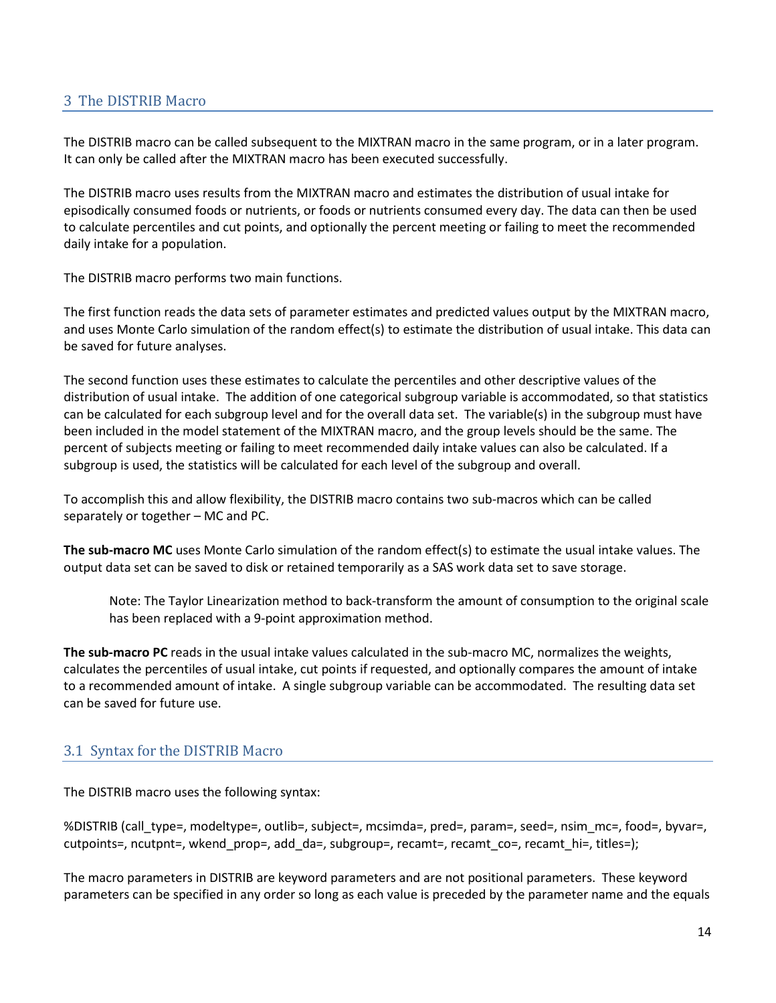#### <span id="page-13-0"></span>3 The DISTRIB Macro

The DISTRIB macro can be called subsequent to the MIXTRAN macro in the same program, or in a later program. It can only be called after the MIXTRAN macro has been executed successfully.

The DISTRIB macro uses results from the MIXTRAN macro and estimates the distribution of usual intake for episodically consumed foods or nutrients, or foods or nutrients consumed every day. The data can then be used to calculate percentiles and cut points, and optionally the percent meeting or failing to meet the recommended daily intake for a population.

The DISTRIB macro performs two main functions.

The first function reads the data sets of parameter estimates and predicted values output by the MIXTRAN macro, and uses Monte Carlo simulation of the random effect(s) to estimate the distribution of usual intake. This data can be saved for future analyses.

The second function uses these estimates to calculate the percentiles and other descriptive values of the distribution of usual intake. The addition of one categorical subgroup variable is accommodated, so that statistics can be calculated for each subgroup level and for the overall data set. The variable(s) in the subgroup must have been included in the model statement of the MIXTRAN macro, and the group levels should be the same. The percent of subjects meeting or failing to meet recommended daily intake values can also be calculated. If a subgroup is used, the statistics will be calculated for each level of the subgroup and overall.

To accomplish this and allow flexibility, the DISTRIB macro contains two sub-macros which can be called separately or together – MC and PC.

**The sub-macro MC** uses Monte Carlo simulation of the random effect(s) to estimate the usual intake values. The output data set can be saved to disk or retained temporarily as a SAS work data set to save storage.

Note: The Taylor Linearization method to back-transform the amount of consumption to the original scale has been replaced with a 9-point approximation method.

**The sub-macro PC** reads in the usual intake values calculated in the sub-macro MC, normalizes the weights, calculates the percentiles of usual intake, cut points if requested, and optionally compares the amount of intake to a recommended amount of intake. A single subgroup variable can be accommodated. The resulting data set can be saved for future use.

#### <span id="page-13-1"></span>3.1 Syntax for the DISTRIB Macro

The DISTRIB macro uses the following syntax:

%DISTRIB (call\_type=, modeltype=, outlib=, subject=, mcsimda=, pred=, param=, seed=, nsim\_mc=, food=, byvar=, cutpoints=, ncutpnt=, wkend\_prop=, add\_da=, subgroup=, recamt=, recamt\_co=, recamt\_hi=, titles=);

The macro parameters in DISTRIB are keyword parameters and are not positional parameters. These keyword parameters can be specified in any order so long as each value is preceded by the parameter name and the equals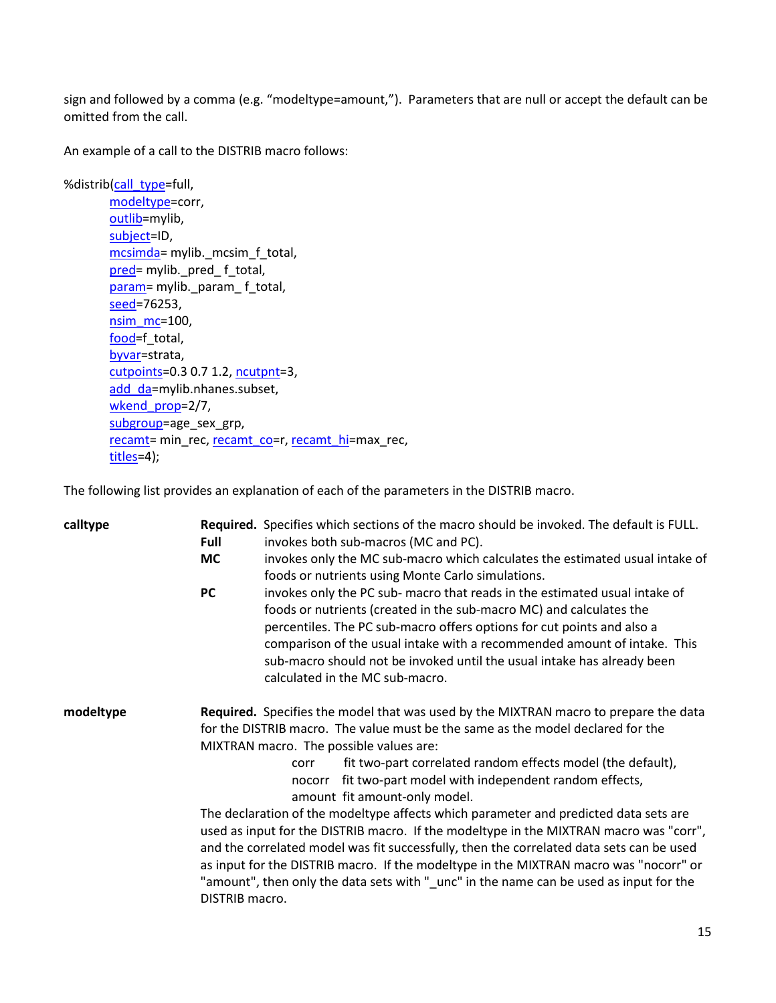sign and followed by a comma (e.g. "modeltype=amount,"). Parameters that are null or accept the default can be omitted from the call.

An example of a call to the DISTRIB macro follows:

%distrib[\(call\\_type=](#page-14-0)full, [modeltype=](#page-14-1)corr, [outlib=](#page-15-0)mylib, [subject=](#page-15-1)ID, [mcsimda=](#page-15-2) mylib.\_mcsim\_f\_total, [pred=](#page-15-3) mylib.\_pred\_f\_total, [param=](#page-15-4) mylib.\_param\_ f\_total, [seed=](#page-15-5)76253,  $nsim$   $mc=100$ , [food=](#page-16-1)f\_total, [byvar=](#page-16-2)strata, [cutpoints=](#page-16-3)0.3 0.7 1.2, ncutpnt=3, add da=mylib.nhanes.subset, wkend prop=2/7, [subgroup=](#page-16-0)age\_sex\_grp, [recamt=](#page-16-6) min\_rec, [recamt\\_co=](#page-17-1)r, [recamt\\_hi=](#page-17-2)max\_rec, [titles=](#page-17-3)4);

The following list provides an explanation of each of the parameters in the DISTRIB macro.

<span id="page-14-1"></span><span id="page-14-0"></span>

| calltype  | <b>Full</b><br><b>MC</b> | Required. Specifies which sections of the macro should be invoked. The default is FULL.<br>invokes both sub-macros (MC and PC).<br>invokes only the MC sub-macro which calculates the estimated usual intake of<br>foods or nutrients using Monte Carlo simulations.                                                                                                                                                                                                                                                                                                                                                                                                                                                                                                                                                                                         |
|-----------|--------------------------|--------------------------------------------------------------------------------------------------------------------------------------------------------------------------------------------------------------------------------------------------------------------------------------------------------------------------------------------------------------------------------------------------------------------------------------------------------------------------------------------------------------------------------------------------------------------------------------------------------------------------------------------------------------------------------------------------------------------------------------------------------------------------------------------------------------------------------------------------------------|
|           | <b>PC</b>                | invokes only the PC sub- macro that reads in the estimated usual intake of<br>foods or nutrients (created in the sub-macro MC) and calculates the<br>percentiles. The PC sub-macro offers options for cut points and also a<br>comparison of the usual intake with a recommended amount of intake. This<br>sub-macro should not be invoked until the usual intake has already been<br>calculated in the MC sub-macro.                                                                                                                                                                                                                                                                                                                                                                                                                                        |
| modeltype | DISTRIB macro.           | Required. Specifies the model that was used by the MIXTRAN macro to prepare the data<br>for the DISTRIB macro. The value must be the same as the model declared for the<br>MIXTRAN macro. The possible values are:<br>fit two-part correlated random effects model (the default),<br>corr<br>fit two-part model with independent random effects,<br>nocorr<br>amount fit amount-only model.<br>The declaration of the modeltype affects which parameter and predicted data sets are<br>used as input for the DISTRIB macro. If the modeltype in the MIXTRAN macro was "corr",<br>and the correlated model was fit successfully, then the correlated data sets can be used<br>as input for the DISTRIB macro. If the modeltype in the MIXTRAN macro was "nocorr" or<br>"amount", then only the data sets with "_unc" in the name can be used as input for the |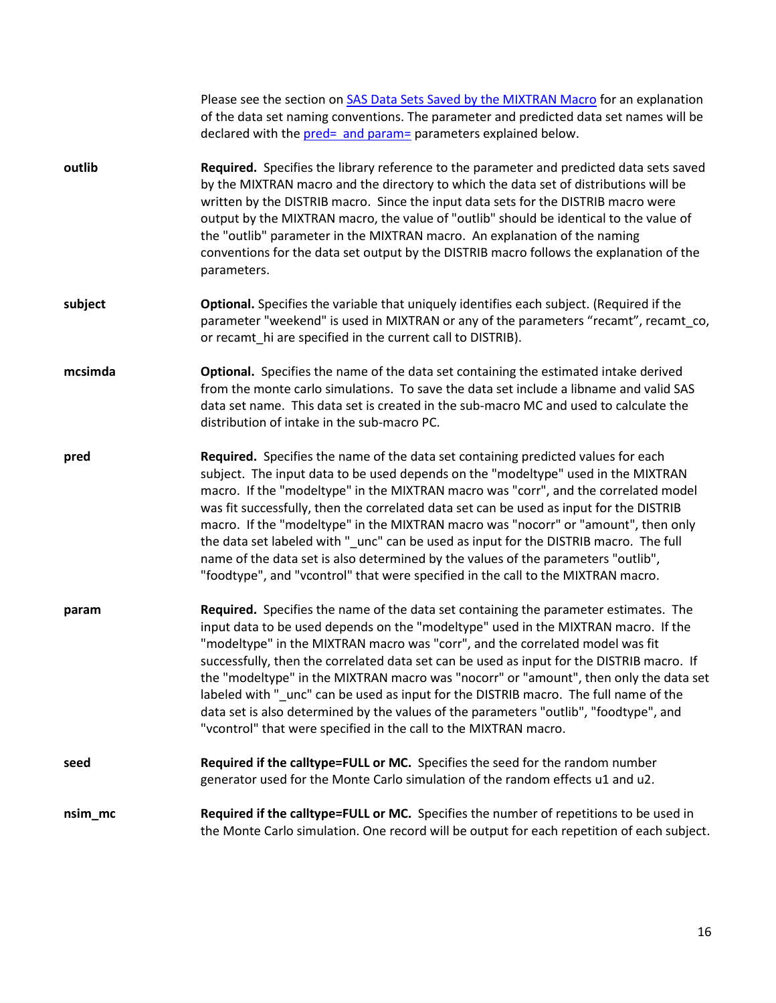<span id="page-15-6"></span><span id="page-15-5"></span><span id="page-15-4"></span><span id="page-15-3"></span><span id="page-15-2"></span><span id="page-15-1"></span><span id="page-15-0"></span>

|         | Please see the section on SAS Data Sets Saved by the MIXTRAN Macro for an explanation<br>of the data set naming conventions. The parameter and predicted data set names will be<br>declared with the pred= and param= parameters explained below.                                                                                                                                                                                                                                                                                                                                                                                                                                                                |
|---------|------------------------------------------------------------------------------------------------------------------------------------------------------------------------------------------------------------------------------------------------------------------------------------------------------------------------------------------------------------------------------------------------------------------------------------------------------------------------------------------------------------------------------------------------------------------------------------------------------------------------------------------------------------------------------------------------------------------|
| outlib  | Required. Specifies the library reference to the parameter and predicted data sets saved<br>by the MIXTRAN macro and the directory to which the data set of distributions will be<br>written by the DISTRIB macro. Since the input data sets for the DISTRIB macro were<br>output by the MIXTRAN macro, the value of "outlib" should be identical to the value of<br>the "outlib" parameter in the MIXTRAN macro. An explanation of the naming<br>conventions for the data set output by the DISTRIB macro follows the explanation of the<br>parameters.                                                                                                                                                         |
| subject | Optional. Specifies the variable that uniquely identifies each subject. (Required if the<br>parameter "weekend" is used in MIXTRAN or any of the parameters "recamt", recamt_co,<br>or recamt_hi are specified in the current call to DISTRIB).                                                                                                                                                                                                                                                                                                                                                                                                                                                                  |
| mcsimda | <b>Optional.</b> Specifies the name of the data set containing the estimated intake derived<br>from the monte carlo simulations. To save the data set include a libname and valid SAS<br>data set name. This data set is created in the sub-macro MC and used to calculate the<br>distribution of intake in the sub-macro PC.                                                                                                                                                                                                                                                                                                                                                                                    |
| pred    | Required. Specifies the name of the data set containing predicted values for each<br>subject. The input data to be used depends on the "modeltype" used in the MIXTRAN<br>macro. If the "modeltype" in the MIXTRAN macro was "corr", and the correlated model<br>was fit successfully, then the correlated data set can be used as input for the DISTRIB<br>macro. If the "modeltype" in the MIXTRAN macro was "nocorr" or "amount", then only<br>the data set labeled with "_unc" can be used as input for the DISTRIB macro. The full<br>name of the data set is also determined by the values of the parameters "outlib",<br>"foodtype", and "vcontrol" that were specified in the call to the MIXTRAN macro. |
| param   | Required. Specifies the name of the data set containing the parameter estimates. The<br>input data to be used depends on the "modeltype" used in the MIXTRAN macro. If the<br>"modeltype" in the MIXTRAN macro was "corr", and the correlated model was fit<br>successfully, then the correlated data set can be used as input for the DISTRIB macro. If<br>the "modeltype" in the MIXTRAN macro was "nocorr" or "amount", then only the data set<br>labeled with "_unc" can be used as input for the DISTRIB macro. The full name of the<br>data set is also determined by the values of the parameters "outlib", "foodtype", and<br>"vcontrol" that were specified in the call to the MIXTRAN macro.           |
| seed    | Required if the calltype=FULL or MC. Specifies the seed for the random number<br>generator used for the Monte Carlo simulation of the random effects u1 and u2.                                                                                                                                                                                                                                                                                                                                                                                                                                                                                                                                                  |
| nsim_mc | Required if the calltype=FULL or MC. Specifies the number of repetitions to be used in<br>the Monte Carlo simulation. One record will be output for each repetition of each subject.                                                                                                                                                                                                                                                                                                                                                                                                                                                                                                                             |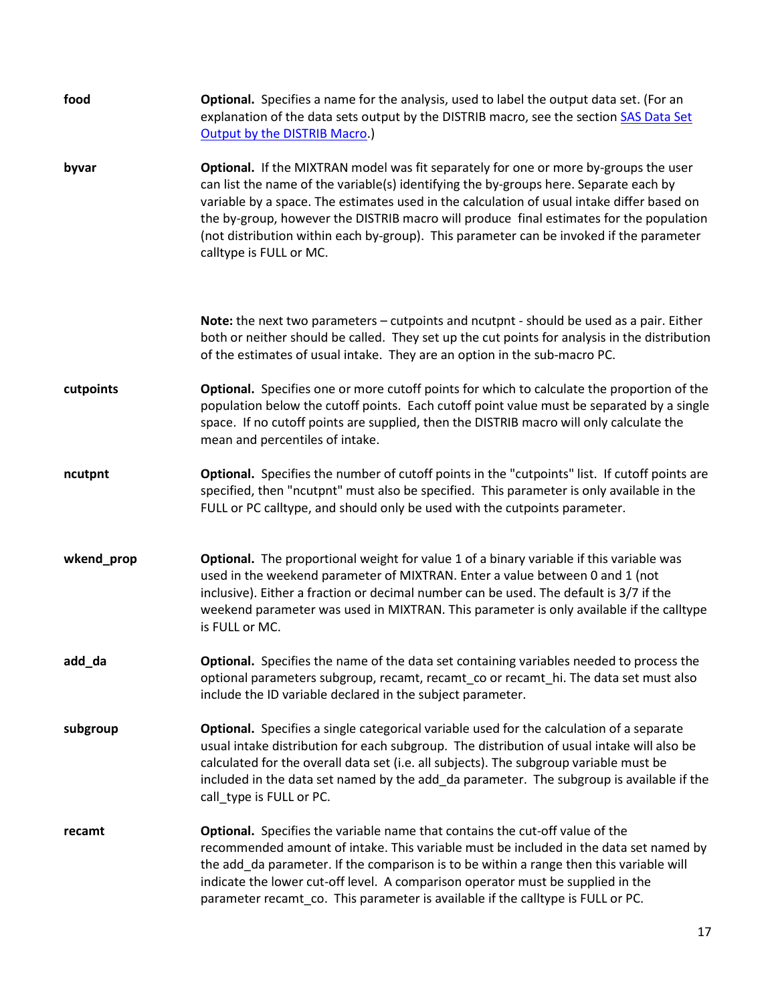<span id="page-16-6"></span><span id="page-16-5"></span><span id="page-16-4"></span><span id="page-16-3"></span><span id="page-16-2"></span><span id="page-16-1"></span><span id="page-16-0"></span>

| food       | Optional. Specifies a name for the analysis, used to label the output data set. (For an<br>explanation of the data sets output by the DISTRIB macro, see the section SAS Data Set<br>Output by the DISTRIB Macro.)                                                                                                                                                                                                                                                                           |
|------------|----------------------------------------------------------------------------------------------------------------------------------------------------------------------------------------------------------------------------------------------------------------------------------------------------------------------------------------------------------------------------------------------------------------------------------------------------------------------------------------------|
| byvar      | Optional. If the MIXTRAN model was fit separately for one or more by-groups the user<br>can list the name of the variable(s) identifying the by-groups here. Separate each by<br>variable by a space. The estimates used in the calculation of usual intake differ based on<br>the by-group, however the DISTRIB macro will produce final estimates for the population<br>(not distribution within each by-group). This parameter can be invoked if the parameter<br>calltype is FULL or MC. |
|            | Note: the next two parameters - cutpoints and ncutpnt - should be used as a pair. Either<br>both or neither should be called. They set up the cut points for analysis in the distribution<br>of the estimates of usual intake. They are an option in the sub-macro PC.                                                                                                                                                                                                                       |
| cutpoints  | <b>Optional.</b> Specifies one or more cutoff points for which to calculate the proportion of the<br>population below the cutoff points. Each cutoff point value must be separated by a single<br>space. If no cutoff points are supplied, then the DISTRIB macro will only calculate the<br>mean and percentiles of intake.                                                                                                                                                                 |
| ncutpnt    | <b>Optional.</b> Specifies the number of cutoff points in the "cutpoints" list. If cutoff points are<br>specified, then "ncutpnt" must also be specified. This parameter is only available in the<br>FULL or PC calltype, and should only be used with the cutpoints parameter.                                                                                                                                                                                                              |
| wkend_prop | Optional. The proportional weight for value 1 of a binary variable if this variable was<br>used in the weekend parameter of MIXTRAN. Enter a value between 0 and 1 (not<br>inclusive). Either a fraction or decimal number can be used. The default is 3/7 if the<br>weekend parameter was used in MIXTRAN. This parameter is only available if the calltype<br>is FULL or MC.                                                                                                               |
| add_da     | Optional. Specifies the name of the data set containing variables needed to process the<br>optional parameters subgroup, recamt, recamt_co or recamt_hi. The data set must also<br>include the ID variable declared in the subject parameter.                                                                                                                                                                                                                                                |
| subgroup   | Optional. Specifies a single categorical variable used for the calculation of a separate<br>usual intake distribution for each subgroup. The distribution of usual intake will also be<br>calculated for the overall data set (i.e. all subjects). The subgroup variable must be<br>included in the data set named by the add da parameter. The subgroup is available if the<br>call type is FULL or PC.                                                                                     |
| recamt     | Optional. Specifies the variable name that contains the cut-off value of the<br>recommended amount of intake. This variable must be included in the data set named by<br>the add_da parameter. If the comparison is to be within a range then this variable will<br>indicate the lower cut-off level. A comparison operator must be supplied in the<br>parameter recamt_co. This parameter is available if the calltype is FULL or PC.                                                       |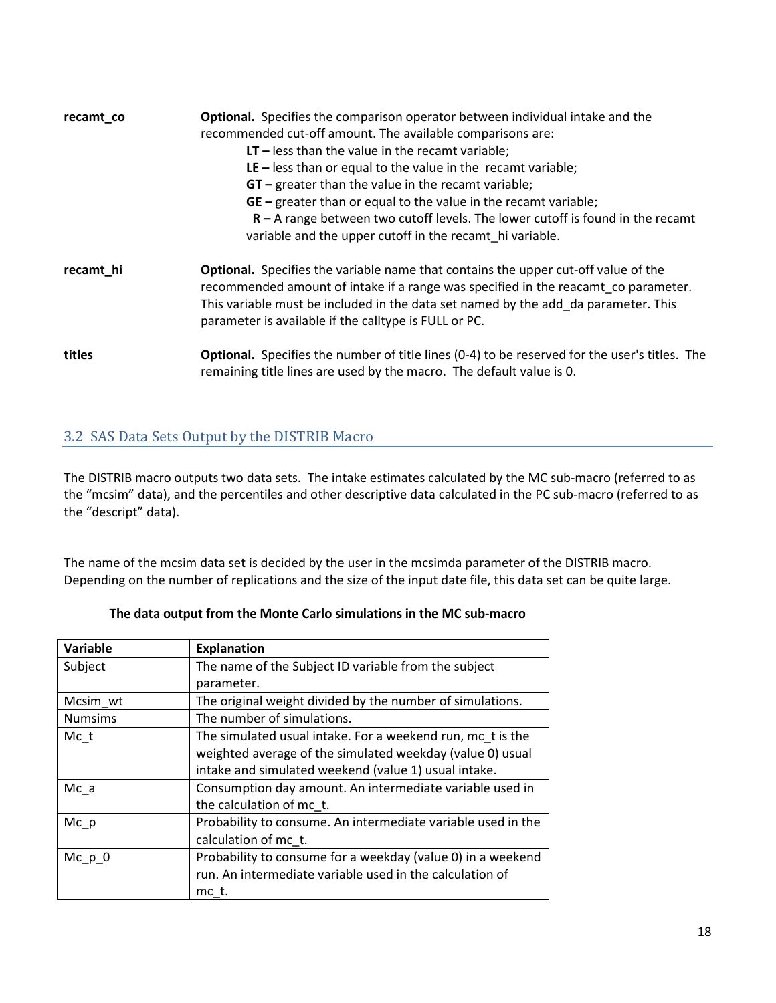<span id="page-17-2"></span><span id="page-17-1"></span>

| recamt_co | <b>Optional.</b> Specifies the comparison operator between individual intake and the<br>recommended cut-off amount. The available comparisons are:<br>$LT$ – less than the value in the recamt variable;<br>$LE$ – less than or equal to the value in the recamt variable;<br>$GT$ – greater than the value in the recamt variable;<br>$GE$ – greater than or equal to the value in the recamt variable; |
|-----------|----------------------------------------------------------------------------------------------------------------------------------------------------------------------------------------------------------------------------------------------------------------------------------------------------------------------------------------------------------------------------------------------------------|
|           | $R - A$ range between two cutoff levels. The lower cutoff is found in the recamt<br>variable and the upper cutoff in the recamt_hi variable.                                                                                                                                                                                                                                                             |
| recamt hi | <b>Optional.</b> Specifies the variable name that contains the upper cut-off value of the<br>recommended amount of intake if a range was specified in the reacamt co parameter.<br>This variable must be included in the data set named by the add da parameter. This<br>parameter is available if the calltype is FULL or PC.                                                                           |
| titles    | <b>Optional.</b> Specifies the number of title lines (0-4) to be reserved for the user's titles. The<br>remaining title lines are used by the macro. The default value is 0.                                                                                                                                                                                                                             |

# <span id="page-17-3"></span><span id="page-17-0"></span>3.2 SAS Data Sets Output by the DISTRIB Macro

The DISTRIB macro outputs two data sets. The intake estimates calculated by the MC sub-macro (referred to as the "mcsim" data), and the percentiles and other descriptive data calculated in the PC sub-macro (referred to as the "descript" data).

The name of the mcsim data set is decided by the user in the mcsimda parameter of the DISTRIB macro. Depending on the number of replications and the size of the input date file, this data set can be quite large.

| <b>Variable</b> | <b>Explanation</b>                                           |
|-----------------|--------------------------------------------------------------|
| Subject         | The name of the Subject ID variable from the subject         |
|                 | parameter.                                                   |
| Mcsim_wt        | The original weight divided by the number of simulations.    |
| <b>Numsims</b>  | The number of simulations.                                   |
| Mc t            | The simulated usual intake. For a weekend run, mo t is the   |
|                 | weighted average of the simulated weekday (value 0) usual    |
|                 | intake and simulated weekend (value 1) usual intake.         |
| $Mc_a$          | Consumption day amount. An intermediate variable used in     |
|                 | the calculation of mc t.                                     |
| Mc p            | Probability to consume. An intermediate variable used in the |
|                 | calculation of mc t.                                         |
| $Mc$ $p$ $0$    | Probability to consume for a weekday (value 0) in a weekend  |
|                 | run. An intermediate variable used in the calculation of     |
|                 | mc t.                                                        |

#### **The data output from the Monte Carlo simulations in the MC sub-macro**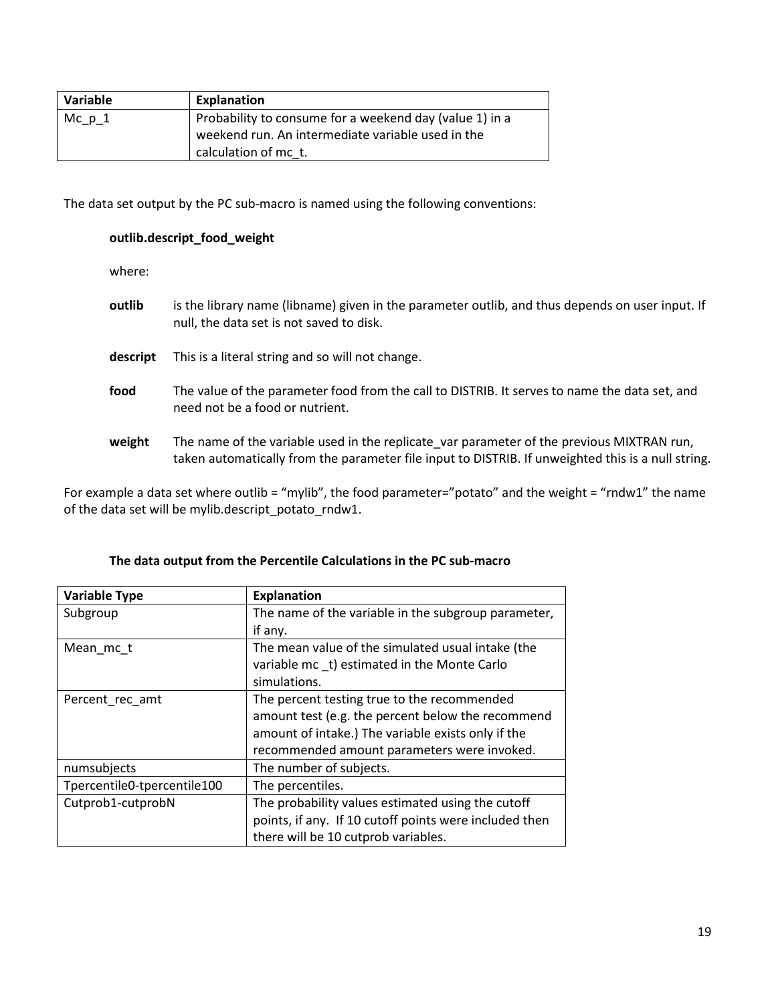| Variable | Explanation                                             |
|----------|---------------------------------------------------------|
| Mc p 1   | Probability to consume for a weekend day (value 1) in a |
|          | weekend run. An intermediate variable used in the       |
|          | calculation of mc t.                                    |

The data set output by the PC sub-macro is named using the following conventions:

#### **outlib.descript\_food\_weight**

where:

| outlib | is the library name (libname) given in the parameter outlib, and thus depends on user input. If |
|--------|-------------------------------------------------------------------------------------------------|
|        | null, the data set is not saved to disk.                                                        |

- **descript** This is a literal string and so will not change.
- **food** The value of the parameter food from the call to DISTRIB. It serves to name the data set, and need not be a food or nutrient.
- **weight** The name of the variable used in the replicate\_var parameter of the previous MIXTRAN run, taken automatically from the parameter file input to DISTRIB. If unweighted this is a null string.

For example a data set where outlib = "mylib", the food parameter="potato" and the weight = "rndw1" the name of the data set will be mylib.descript potato rndw1.

| <b>Variable Type</b>        | <b>Explanation</b>                                     |
|-----------------------------|--------------------------------------------------------|
| Subgroup                    | The name of the variable in the subgroup parameter,    |
|                             | if any.                                                |
| Mean_mc_t                   | The mean value of the simulated usual intake (the      |
|                             | variable mc _t) estimated in the Monte Carlo           |
|                             | simulations.                                           |
| Percent_rec_amt             | The percent testing true to the recommended            |
|                             | amount test (e.g. the percent below the recommend      |
|                             | amount of intake.) The variable exists only if the     |
|                             | recommended amount parameters were invoked.            |
| numsubjects                 | The number of subjects.                                |
| Tpercentile0-tpercentile100 | The percentiles.                                       |
| Cutprob1-cutprobN           | The probability values estimated using the cutoff      |
|                             | points, if any. If 10 cutoff points were included then |
|                             | there will be 10 cutprob variables.                    |

#### **The data output from the Percentile Calculations in the PC sub-macro**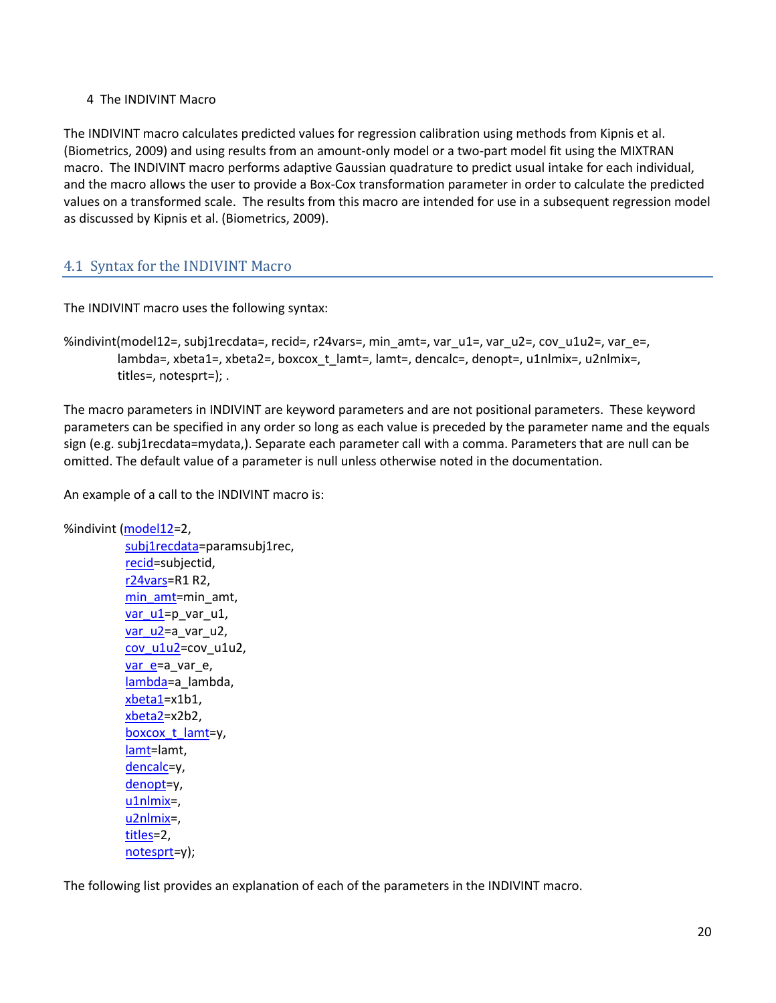#### <span id="page-19-0"></span>4 The INDIVINT Macro

The INDIVINT macro calculates predicted values for regression calibration using methods from Kipnis et al. (Biometrics, 2009) and using results from an amount-only model or a two-part model fit using the MIXTRAN macro. The INDIVINT macro performs adaptive Gaussian quadrature to predict usual intake for each individual, and the macro allows the user to provide a Box-Cox transformation parameter in order to calculate the predicted values on a transformed scale. The results from this macro are intended for use in a subsequent regression model as discussed by Kipnis et al. (Biometrics, 2009).

# <span id="page-19-1"></span>4.1 Syntax for the INDIVINT Macro

The INDIVINT macro uses the following syntax:

```
%indivint(model12=, subj1recdata=, recid=, r24vars=, min_amt=, var_u1=, var_u2=, cov_u1u2=, var_e=,
lambda=, xbeta1=, xbeta2=, boxcox_t_lamt=, lamt=, dencalc=, denopt=, u1nlmix=, u2nlmix=, 
titles=, notesprt=); .
```
The macro parameters in INDIVINT are keyword parameters and are not positional parameters. These keyword parameters can be specified in any order so long as each value is preceded by the parameter name and the equals sign (e.g. subj1recdata=mydata,). Separate each parameter call with a comma. Parameters that are null can be omitted. The default value of a parameter is null unless otherwise noted in the documentation.

An example of a call to the INDIVINT macro is:

```
%indivint (model12=2,
 subj1recdata=paramsubj1rec, 
 recid=subjectid, 
 r24vars=R1 R2, 
min_amt=min_amt,
var_u1=p_var_u1,
var u2=a var u2,
cov_u1u2=cov_u1u2,
var e=a_var e,
 lambda=a_lambda, 
 xbeta1=x1b1, 
 xbeta2=x2b2, 
 boxcox_t_lamt=y, 
 lamt=lamt, 
 dencalc=y, 
 denopt=y, 
u1nlmix=,
 u2nlmix=, 
 titles=2, 
 notesprt=y);
```
The following list provides an explanation of each of the parameters in the INDIVINT macro.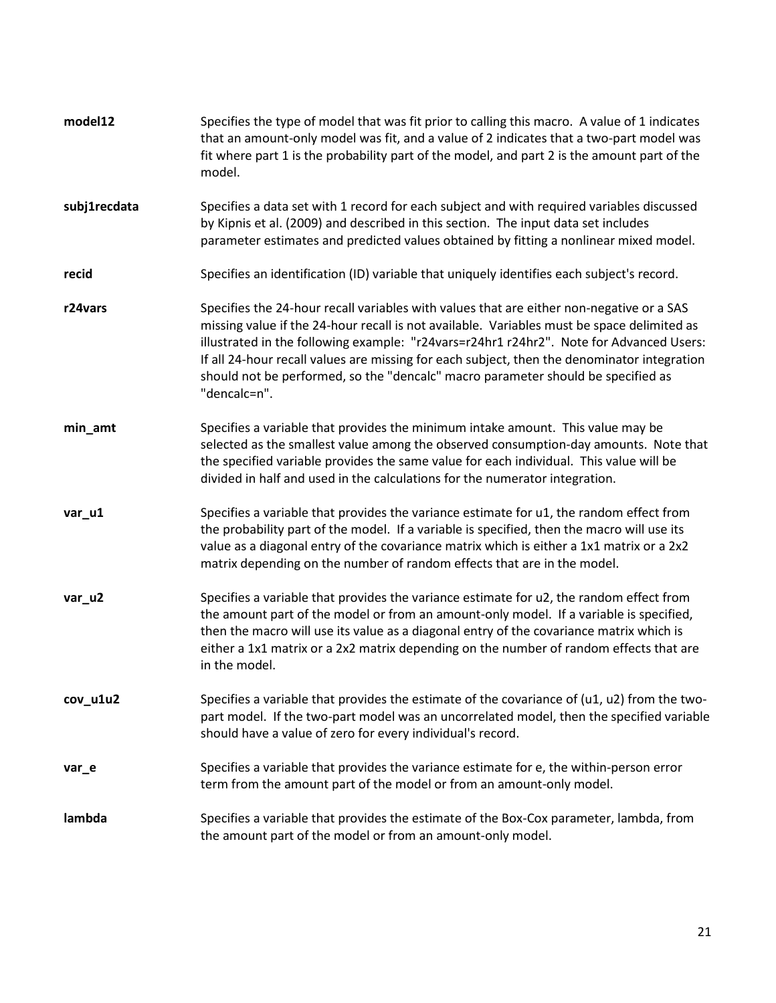| model12      | Specifies the type of model that was fit prior to calling this macro. A value of 1 indicates<br>that an amount-only model was fit, and a value of 2 indicates that a two-part model was<br>fit where part 1 is the probability part of the model, and part 2 is the amount part of the<br>model.                                                                                                                                                                                     |
|--------------|--------------------------------------------------------------------------------------------------------------------------------------------------------------------------------------------------------------------------------------------------------------------------------------------------------------------------------------------------------------------------------------------------------------------------------------------------------------------------------------|
| subj1recdata | Specifies a data set with 1 record for each subject and with required variables discussed<br>by Kipnis et al. (2009) and described in this section. The input data set includes<br>parameter estimates and predicted values obtained by fitting a nonlinear mixed model.                                                                                                                                                                                                             |
| recid        | Specifies an identification (ID) variable that uniquely identifies each subject's record.                                                                                                                                                                                                                                                                                                                                                                                            |
| r24vars      | Specifies the 24-hour recall variables with values that are either non-negative or a SAS<br>missing value if the 24-hour recall is not available. Variables must be space delimited as<br>illustrated in the following example: "r24vars=r24hr1 r24hr2". Note for Advanced Users:<br>If all 24-hour recall values are missing for each subject, then the denominator integration<br>should not be performed, so the "dencalc" macro parameter should be specified as<br>"dencalc=n". |
| min_amt      | Specifies a variable that provides the minimum intake amount. This value may be<br>selected as the smallest value among the observed consumption-day amounts. Note that<br>the specified variable provides the same value for each individual. This value will be<br>divided in half and used in the calculations for the numerator integration.                                                                                                                                     |
| var_u1       | Specifies a variable that provides the variance estimate for u1, the random effect from<br>the probability part of the model. If a variable is specified, then the macro will use its<br>value as a diagonal entry of the covariance matrix which is either a 1x1 matrix or a 2x2<br>matrix depending on the number of random effects that are in the model.                                                                                                                         |
| var_u2       | Specifies a variable that provides the variance estimate for u2, the random effect from<br>the amount part of the model or from an amount-only model. If a variable is specified,<br>then the macro will use its value as a diagonal entry of the covariance matrix which is<br>either a 1x1 matrix or a 2x2 matrix depending on the number of random effects that are<br>in the model.                                                                                              |
| cov_u1u2     | Specifies a variable that provides the estimate of the covariance of $(u1, u2)$ from the two-<br>part model. If the two-part model was an uncorrelated model, then the specified variable<br>should have a value of zero for every individual's record.                                                                                                                                                                                                                              |
| var_e        | Specifies a variable that provides the variance estimate for e, the within-person error<br>term from the amount part of the model or from an amount-only model.                                                                                                                                                                                                                                                                                                                      |
| lambda       | Specifies a variable that provides the estimate of the Box-Cox parameter, lambda, from<br>the amount part of the model or from an amount-only model.                                                                                                                                                                                                                                                                                                                                 |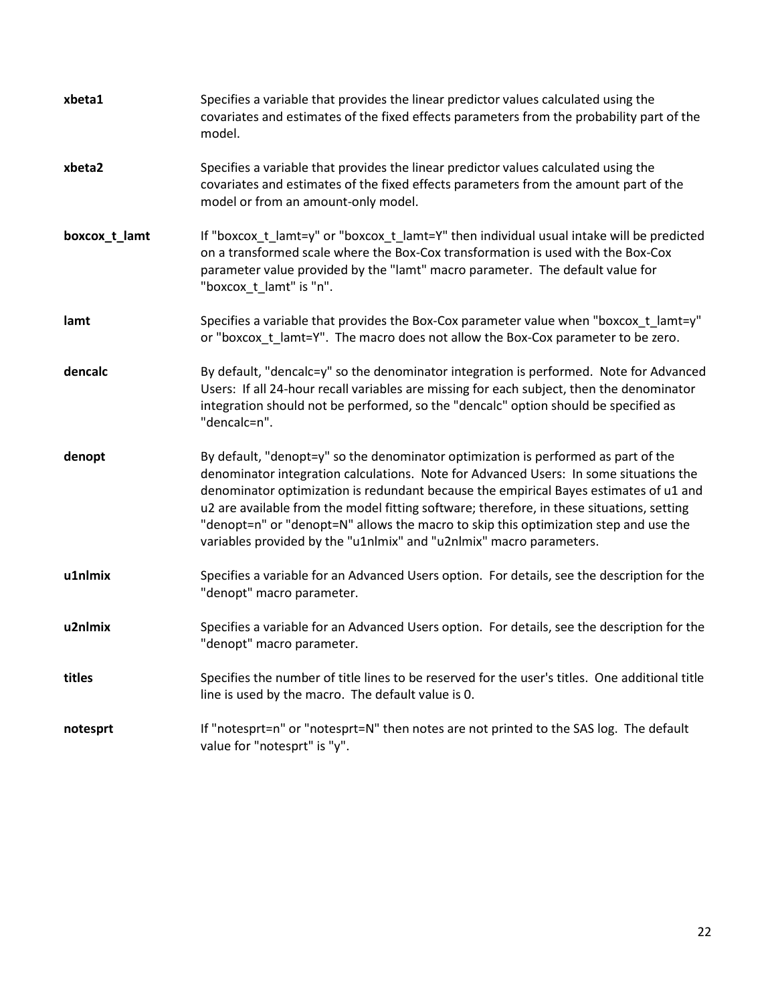| xbeta1        | Specifies a variable that provides the linear predictor values calculated using the<br>covariates and estimates of the fixed effects parameters from the probability part of the<br>model.                                                                                                                                                                                                                                                                                                                                       |
|---------------|----------------------------------------------------------------------------------------------------------------------------------------------------------------------------------------------------------------------------------------------------------------------------------------------------------------------------------------------------------------------------------------------------------------------------------------------------------------------------------------------------------------------------------|
| xbeta2        | Specifies a variable that provides the linear predictor values calculated using the<br>covariates and estimates of the fixed effects parameters from the amount part of the<br>model or from an amount-only model.                                                                                                                                                                                                                                                                                                               |
| boxcox_t_lamt | If "boxcox_t_lamt=y" or "boxcox_t_lamt=Y" then individual usual intake will be predicted<br>on a transformed scale where the Box-Cox transformation is used with the Box-Cox<br>parameter value provided by the "lamt" macro parameter. The default value for<br>"boxcox_t_lamt" is "n".                                                                                                                                                                                                                                         |
| lamt          | Specifies a variable that provides the Box-Cox parameter value when "boxcox_t_lamt=y"<br>or "boxcox_t_lamt=Y". The macro does not allow the Box-Cox parameter to be zero.                                                                                                                                                                                                                                                                                                                                                        |
| dencalc       | By default, "dencalc=y" so the denominator integration is performed. Note for Advanced<br>Users: If all 24-hour recall variables are missing for each subject, then the denominator<br>integration should not be performed, so the "dencalc" option should be specified as<br>"dencalc=n".                                                                                                                                                                                                                                       |
| denopt        | By default, "denopt=y" so the denominator optimization is performed as part of the<br>denominator integration calculations. Note for Advanced Users: In some situations the<br>denominator optimization is redundant because the empirical Bayes estimates of u1 and<br>u2 are available from the model fitting software; therefore, in these situations, setting<br>"denopt=n" or "denopt=N" allows the macro to skip this optimization step and use the<br>variables provided by the "u1nlmix" and "u2nlmix" macro parameters. |
| u1nlmix       | Specifies a variable for an Advanced Users option. For details, see the description for the<br>"denopt" macro parameter.                                                                                                                                                                                                                                                                                                                                                                                                         |
| u2nlmix       | Specifies a variable for an Advanced Users option. For details, see the description for the<br>"denopt" macro parameter.                                                                                                                                                                                                                                                                                                                                                                                                         |
| titles        | Specifies the number of title lines to be reserved for the user's titles. One additional title<br>line is used by the macro. The default value is 0.                                                                                                                                                                                                                                                                                                                                                                             |
| notesprt      | If "notesprt=n" or "notesprt=N" then notes are not printed to the SAS log. The default<br>value for "notesprt" is "y".                                                                                                                                                                                                                                                                                                                                                                                                           |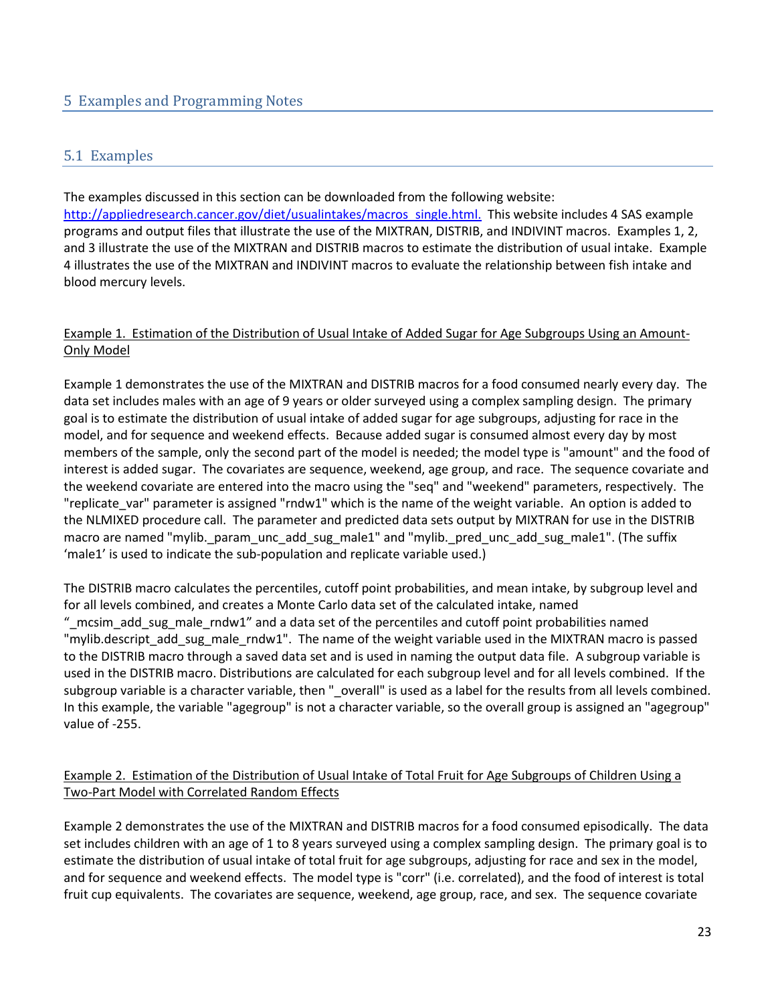## <span id="page-22-1"></span><span id="page-22-0"></span>5.1 Examples

The examples discussed in this section can be downloaded from the following website: [http://appliedresearch.cancer.gov/diet/usualintakes/macros\\_single.html.](http://appliedresearch.cancer.gov/diet/usualintakes/macros_single.html) This website includes 4 SAS example programs and output files that illustrate the use of the MIXTRAN, DISTRIB, and INDIVINT macros. Examples 1, 2, and 3 illustrate the use of the MIXTRAN and DISTRIB macros to estimate the distribution of usual intake. Example 4 illustrates the use of the MIXTRAN and INDIVINT macros to evaluate the relationship between fish intake and blood mercury levels.

#### Example 1. Estimation of the Distribution of Usual Intake of Added Sugar for Age Subgroups Using an Amount-Only Model

Example 1 demonstrates the use of the MIXTRAN and DISTRIB macros for a food consumed nearly every day. The data set includes males with an age of 9 years or older surveyed using a complex sampling design. The primary goal is to estimate the distribution of usual intake of added sugar for age subgroups, adjusting for race in the model, and for sequence and weekend effects. Because added sugar is consumed almost every day by most members of the sample, only the second part of the model is needed; the model type is "amount" and the food of interest is added sugar. The covariates are sequence, weekend, age group, and race. The sequence covariate and the weekend covariate are entered into the macro using the "seq" and "weekend" parameters, respectively. The "replicate var" parameter is assigned "rndw1" which is the name of the weight variable. An option is added to the NLMIXED procedure call. The parameter and predicted data sets output by MIXTRAN for use in the DISTRIB macro are named "mylib. param\_unc\_add\_sug\_male1" and "mylib. pred\_unc\_add\_sug\_male1". (The suffix 'male1' is used to indicate the sub-population and replicate variable used.)

The DISTRIB macro calculates the percentiles, cutoff point probabilities, and mean intake, by subgroup level and for all levels combined, and creates a Monte Carlo data set of the calculated intake, named "\_mcsim\_add\_sug\_male\_rndw1" and a data set of the percentiles and cutoff point probabilities named "mylib.descript\_add\_sug\_male\_rndw1". The name of the weight variable used in the MIXTRAN macro is passed to the DISTRIB macro through a saved data set and is used in naming the output data file. A subgroup variable is used in the DISTRIB macro. Distributions are calculated for each subgroup level and for all levels combined. If the subgroup variable is a character variable, then " \_overall" is used as a label for the results from all levels combined. In this example, the variable "agegroup" is not a character variable, so the overall group is assigned an "agegroup" value of -255.

#### Example 2. Estimation of the Distribution of Usual Intake of Total Fruit for Age Subgroups of Children Using a Two-Part Model with Correlated Random Effects

Example 2 demonstrates the use of the MIXTRAN and DISTRIB macros for a food consumed episodically. The data set includes children with an age of 1 to 8 years surveyed using a complex sampling design. The primary goal is to estimate the distribution of usual intake of total fruit for age subgroups, adjusting for race and sex in the model, and for sequence and weekend effects. The model type is "corr" (i.e. correlated), and the food of interest is total fruit cup equivalents. The covariates are sequence, weekend, age group, race, and sex. The sequence covariate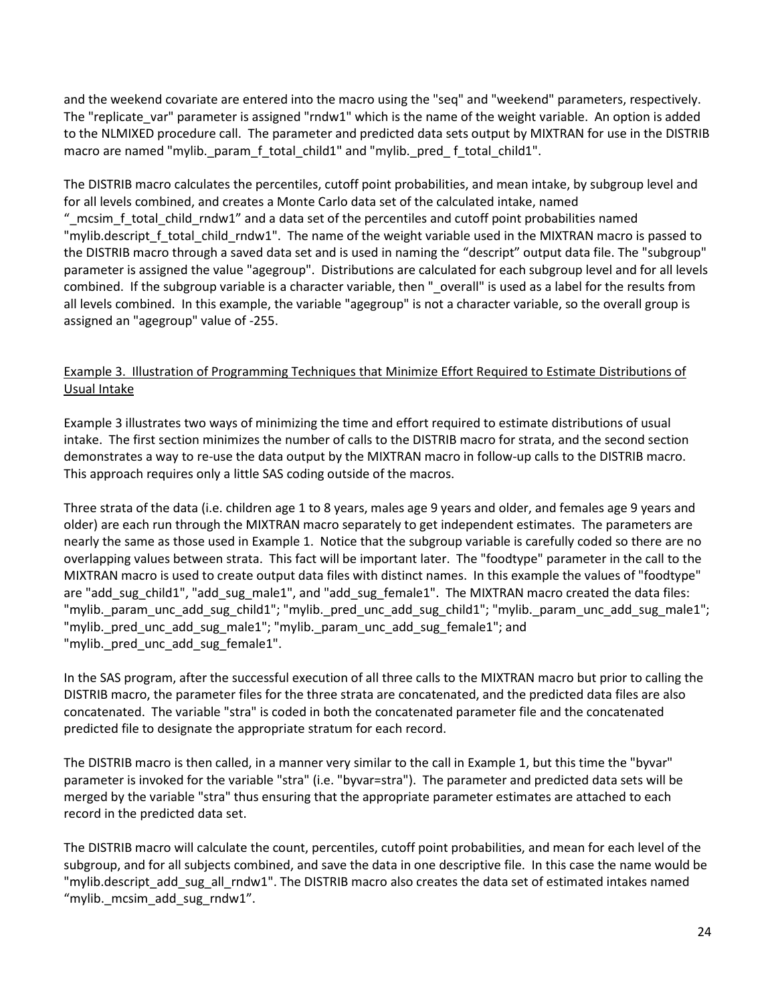and the weekend covariate are entered into the macro using the "seq" and "weekend" parameters, respectively. The "replicate var" parameter is assigned "rndw1" which is the name of the weight variable. An option is added to the NLMIXED procedure call. The parameter and predicted data sets output by MIXTRAN for use in the DISTRIB macro are named "mylib.\_param\_f\_total\_child1" and "mylib.\_pred\_ f\_total\_child1".

The DISTRIB macro calculates the percentiles, cutoff point probabilities, and mean intake, by subgroup level and for all levels combined, and creates a Monte Carlo data set of the calculated intake, named "\_mcsim\_f\_total\_child\_rndw1" and a data set of the percentiles and cutoff point probabilities named "mylib.descript\_f\_total\_child\_rndw1". The name of the weight variable used in the MIXTRAN macro is passed to the DISTRIB macro through a saved data set and is used in naming the "descript" output data file. The "subgroup" parameter is assigned the value "agegroup". Distributions are calculated for each subgroup level and for all levels combined. If the subgroup variable is a character variable, then "\_overall" is used as a label for the results from all levels combined. In this example, the variable "agegroup" is not a character variable, so the overall group is assigned an "agegroup" value of -255.

#### Example 3. Illustration of Programming Techniques that Minimize Effort Required to Estimate Distributions of Usual Intake

Example 3 illustrates two ways of minimizing the time and effort required to estimate distributions of usual intake. The first section minimizes the number of calls to the DISTRIB macro for strata, and the second section demonstrates a way to re-use the data output by the MIXTRAN macro in follow-up calls to the DISTRIB macro. This approach requires only a little SAS coding outside of the macros.

Three strata of the data (i.e. children age 1 to 8 years, males age 9 years and older, and females age 9 years and older) are each run through the MIXTRAN macro separately to get independent estimates. The parameters are nearly the same as those used in Example 1. Notice that the subgroup variable is carefully coded so there are no overlapping values between strata. This fact will be important later. The "foodtype" parameter in the call to the MIXTRAN macro is used to create output data files with distinct names. In this example the values of "foodtype" are "add\_sug\_child1", "add\_sug\_male1", and "add\_sug\_female1". The MIXTRAN macro created the data files: "mylib.\_param\_unc\_add\_sug\_child1"; "mylib.\_pred\_unc\_add\_sug\_child1"; "mylib.\_param\_unc\_add\_sug\_male1"; "mylib.\_pred\_unc\_add\_sug\_male1"; "mylib.\_param\_unc\_add\_sug\_female1"; and "mylib. pred unc add sug female1".

In the SAS program, after the successful execution of all three calls to the MIXTRAN macro but prior to calling the DISTRIB macro, the parameter files for the three strata are concatenated, and the predicted data files are also concatenated. The variable "stra" is coded in both the concatenated parameter file and the concatenated predicted file to designate the appropriate stratum for each record.

The DISTRIB macro is then called, in a manner very similar to the call in Example 1, but this time the "byvar" parameter is invoked for the variable "stra" (i.e. "byvar=stra"). The parameter and predicted data sets will be merged by the variable "stra" thus ensuring that the appropriate parameter estimates are attached to each record in the predicted data set.

The DISTRIB macro will calculate the count, percentiles, cutoff point probabilities, and mean for each level of the subgroup, and for all subjects combined, and save the data in one descriptive file. In this case the name would be "mylib.descript\_add\_sug\_all\_rndw1". The DISTRIB macro also creates the data set of estimated intakes named "mylib.\_mcsim\_add\_sug\_rndw1".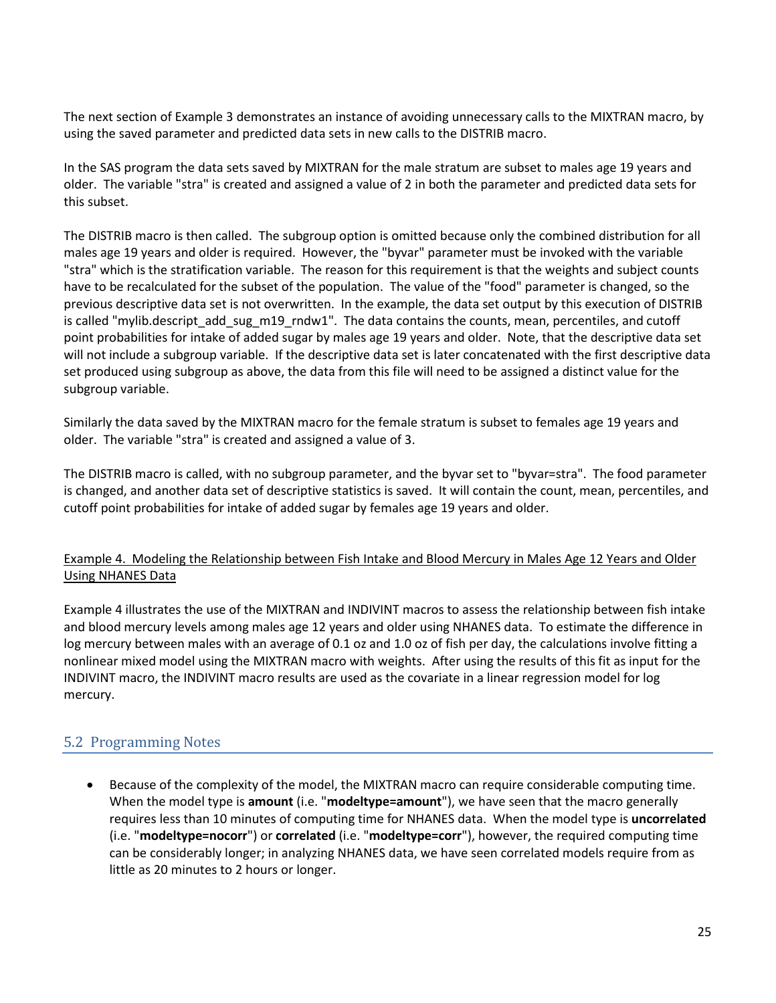The next section of Example 3 demonstrates an instance of avoiding unnecessary calls to the MIXTRAN macro, by using the saved parameter and predicted data sets in new calls to the DISTRIB macro.

In the SAS program the data sets saved by MIXTRAN for the male stratum are subset to males age 19 years and older. The variable "stra" is created and assigned a value of 2 in both the parameter and predicted data sets for this subset.

The DISTRIB macro is then called. The subgroup option is omitted because only the combined distribution for all males age 19 years and older is required. However, the "byvar" parameter must be invoked with the variable "stra" which is the stratification variable. The reason for this requirement is that the weights and subject counts have to be recalculated for the subset of the population. The value of the "food" parameter is changed, so the previous descriptive data set is not overwritten. In the example, the data set output by this execution of DISTRIB is called "mylib.descript add sug m19 rndw1". The data contains the counts, mean, percentiles, and cutoff point probabilities for intake of added sugar by males age 19 years and older. Note, that the descriptive data set will not include a subgroup variable. If the descriptive data set is later concatenated with the first descriptive data set produced using subgroup as above, the data from this file will need to be assigned a distinct value for the subgroup variable.

Similarly the data saved by the MIXTRAN macro for the female stratum is subset to females age 19 years and older. The variable "stra" is created and assigned a value of 3.

The DISTRIB macro is called, with no subgroup parameter, and the byvar set to "byvar=stra". The food parameter is changed, and another data set of descriptive statistics is saved. It will contain the count, mean, percentiles, and cutoff point probabilities for intake of added sugar by females age 19 years and older.

#### Example 4. Modeling the Relationship between Fish Intake and Blood Mercury in Males Age 12 Years and Older Using NHANES Data

Example 4 illustrates the use of the MIXTRAN and INDIVINT macros to assess the relationship between fish intake and blood mercury levels among males age 12 years and older using NHANES data. To estimate the difference in log mercury between males with an average of 0.1 oz and 1.0 oz of fish per day, the calculations involve fitting a nonlinear mixed model using the MIXTRAN macro with weights. After using the results of this fit as input for the INDIVINT macro, the INDIVINT macro results are used as the covariate in a linear regression model for log mercury.

# <span id="page-24-0"></span>5.2 Programming Notes

• Because of the complexity of the model, the MIXTRAN macro can require considerable computing time. When the model type is **amount** (i.e. "**modeltype=amount**"), we have seen that the macro generally requires less than 10 minutes of computing time for NHANES data. When the model type is **uncorrelated** (i.e. "**modeltype=nocorr**") or **correlated** (i.e. "**modeltype=corr**"), however, the required computing time can be considerably longer; in analyzing NHANES data, we have seen correlated models require from as little as 20 minutes to 2 hours or longer.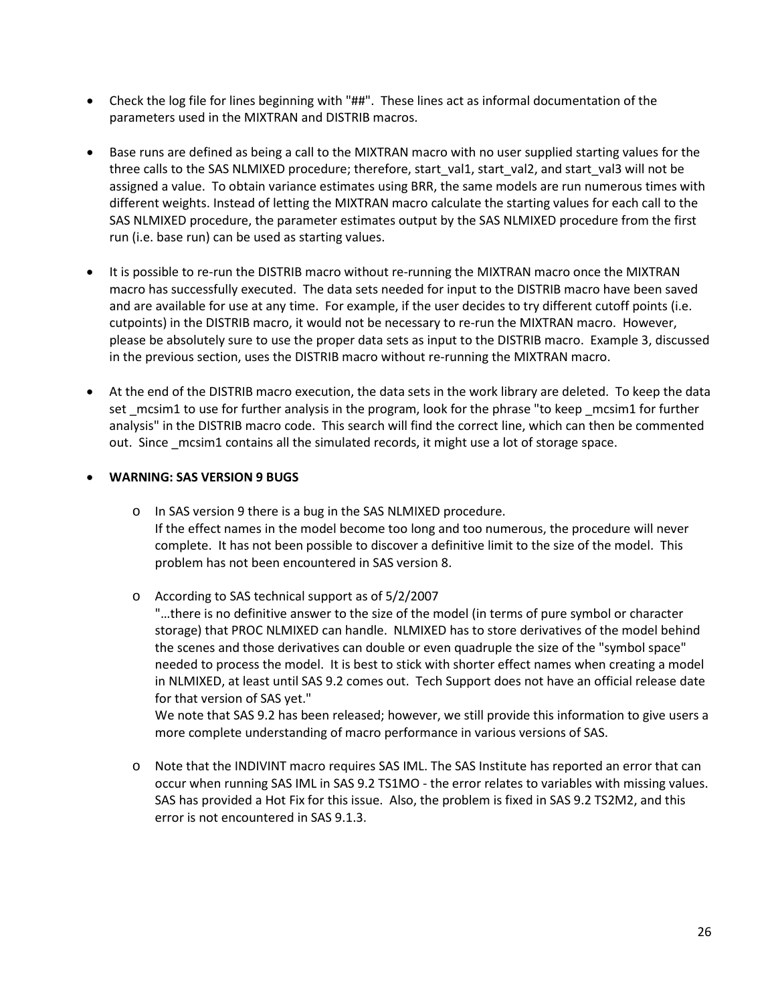- Check the log file for lines beginning with "##". These lines act as informal documentation of the parameters used in the MIXTRAN and DISTRIB macros.
- Base runs are defined as being a call to the MIXTRAN macro with no user supplied starting values for the three calls to the SAS NLMIXED procedure; therefore, start\_val1, start\_val2, and start\_val3 will not be assigned a value. To obtain variance estimates using BRR, the same models are run numerous times with different weights. Instead of letting the MIXTRAN macro calculate the starting values for each call to the SAS NLMIXED procedure, the parameter estimates output by the SAS NLMIXED procedure from the first run (i.e. base run) can be used as starting values.
- It is possible to re-run the DISTRIB macro without re-running the MIXTRAN macro once the MIXTRAN macro has successfully executed. The data sets needed for input to the DISTRIB macro have been saved and are available for use at any time. For example, if the user decides to try different cutoff points (i.e. cutpoints) in the DISTRIB macro, it would not be necessary to re-run the MIXTRAN macro. However, please be absolutely sure to use the proper data sets as input to the DISTRIB macro. Example 3, discussed in the previous section, uses the DISTRIB macro without re-running the MIXTRAN macro.
- At the end of the DISTRIB macro execution, the data sets in the work library are deleted. To keep the data set \_mcsim1 to use for further analysis in the program, look for the phrase "to keep \_mcsim1 for further analysis" in the DISTRIB macro code. This search will find the correct line, which can then be commented out. Since \_mcsim1 contains all the simulated records, it might use a lot of storage space.

#### • **WARNING: SAS VERSION 9 BUGS**

- o In SAS version 9 there is a bug in the SAS NLMIXED procedure. If the effect names in the model become too long and too numerous, the procedure will never complete. It has not been possible to discover a definitive limit to the size of the model. This problem has not been encountered in SAS version 8.
- o According to SAS technical support as of 5/2/2007

"…there is no definitive answer to the size of the model (in terms of pure symbol or character storage) that PROC NLMIXED can handle. NLMIXED has to store derivatives of the model behind the scenes and those derivatives can double or even quadruple the size of the "symbol space" needed to process the model. It is best to stick with shorter effect names when creating a model in NLMIXED, at least until SAS 9.2 comes out. Tech Support does not have an official release date for that version of SAS yet."

We note that SAS 9.2 has been released; however, we still provide this information to give users a more complete understanding of macro performance in various versions of SAS.

o Note that the INDIVINT macro requires SAS IML. The SAS Institute has reported an error that can occur when running SAS IML in SAS 9.2 TS1MO - the error relates to variables with missing values. SAS has provided a Hot Fix for this issue. Also, the problem is fixed in SAS 9.2 TS2M2, and this error is not encountered in SAS 9.1.3.